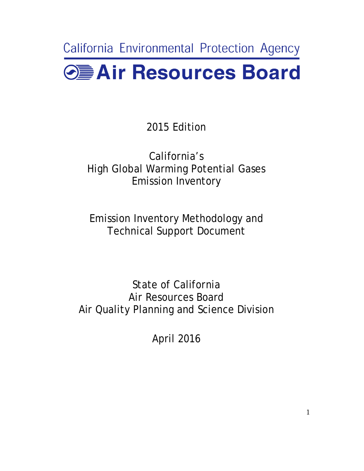California Environmental Protection Agency **O** Air Resources Board

2015 Edition

California's High Global Warming Potential Gases Emission Inventory

Emission Inventory Methodology and

Technical Support Document<br>State of California Air Quality Planning and Science Division Air Resources Board

April 2016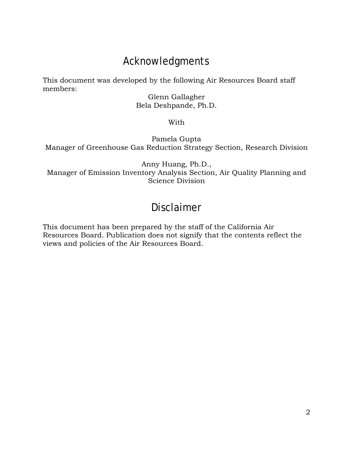# Acknowledgments

This document was developed by the following Air Resources Board staff members:

Glenn Gallagher Bela Deshpande, Ph.D.

With

Pamela Gupta Manager of Greenhouse Gas Reduction Strategy Section, Research Division

Anny Huang, Ph.D., Manager of Emission Inventory Analysis Section, Air Quality Planning and Science Division

# Disclaimer

This document has been prepared by the staff of the California Air Resources Board. Publication does not signify that the contents reflect the views and policies of the Air Resources Board.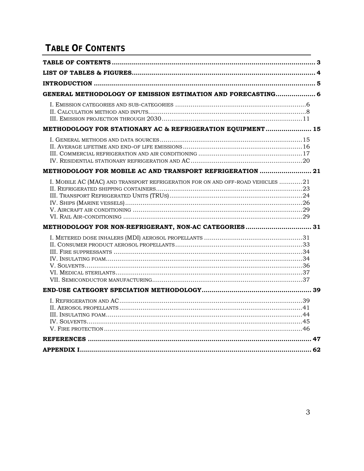# <span id="page-2-0"></span>**TABLE OF CONTENTS**

| GENERAL METHODOLOGY OF EMISSION ESTIMATION AND FORECASTING 6                   |  |
|--------------------------------------------------------------------------------|--|
|                                                                                |  |
| METHODOLOGY FOR STATIONARY AC & REFRIGERATION EQUIPMENT 15                     |  |
|                                                                                |  |
| METHODOLOGY FOR MOBILE AC AND TRANSPORT REFRIGERATION  21                      |  |
| I. MOBILE AC (MAC) AND TRANSPORT REFRIGERATION FOR ON AND OFF-ROAD VEHICLES 21 |  |
| METHODOLOGY FOR NON-REFRIGERANT, NON-AC CATEGORIES 31                          |  |
|                                                                                |  |
|                                                                                |  |
|                                                                                |  |
|                                                                                |  |
|                                                                                |  |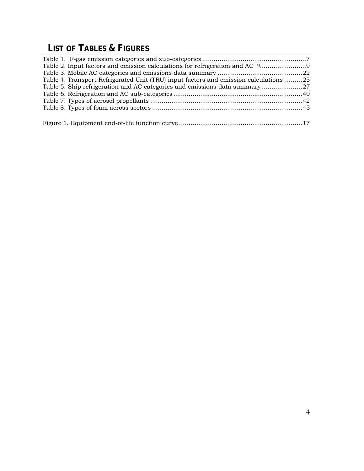# <span id="page-3-0"></span>**LIST OF TABLES & FIGURES**

| Table 4. Transport Refrigerated Unit (TRU) input factors and emission calculations25 |  |
|--------------------------------------------------------------------------------------|--|
|                                                                                      |  |
|                                                                                      |  |
|                                                                                      |  |
|                                                                                      |  |
|                                                                                      |  |
|                                                                                      |  |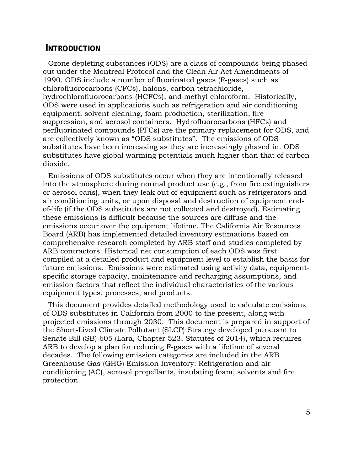#### <span id="page-4-0"></span>**INTRODUCTION**

 Ozone depleting substances (ODS) are a class of compounds being phased hydrochlorofluorocarbons (HCFCs), and methyl chloroform. Historically, suppression, and aerosol containers. Hydrofluorocarbons (HFCs) and out under the Montreal Protocol and the Clean Air Act Amendments of 1990. ODS include a number of fluorinated gases (F-gases) such as chlorofluorocarbons (CFCs), halons, carbon tetrachloride, ODS were used in applications such as refrigeration and air conditioning equipment, solvent cleaning, foam production, sterilization, fire perfluorinated compounds (PFCs) are the primary replacement for ODS, and are collectively known as "ODS substitutes". The emissions of ODS substitutes have been increasing as they are increasingly phased in. ODS substitutes have global warming potentials much higher than that of carbon dioxide.

Emissions of ODS substitutes occur when they are intentionally released into the atmosphere during normal product use (e.g., from fire extinguishers or aerosol cans), when they leak out of equipment such as refrigerators and air conditioning units, or upon disposal and destruction of equipment endof-life (if the ODS substitutes are not collected and destroyed). Estimating these emissions is difficult because the sources are diffuse and the emissions occur over the equipment lifetime. The California Air Resources Board (ARB) has implemented detailed inventory estimations based on comprehensive research completed by ARB staff and studies completed by ARB contractors. Historical net consumption of each ODS was first compiled at a detailed product and equipment level to establish the basis for future emissions. Emissions were estimated using activity data, equipmentspecific storage capacity, maintenance and recharging assumptions, and emission factors that reflect the individual characteristics of the various equipment types, processes, and products.

 projected emissions through 2030. This document is prepared in support of decades. The following emission categories are included in the ARB This document provides detailed methodology used to calculate emissions of ODS substitutes in California from 2000 to the present, along with the Short-Lived Climate Pollutant (SLCP) Strategy developed pursuant to Senate Bill (SB) 605 (Lara, Chapter 523, Statutes of 2014), which requires ARB to develop a plan for reducing F-gases with a lifetime of several Greenhouse Gas (GHG) Emission Inventory: Refrigeration and air conditioning (AC), aerosol propellants, insulating foam, solvents and fire protection.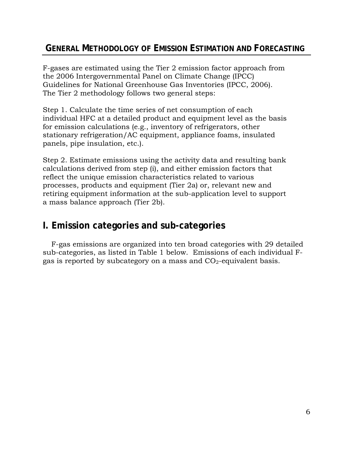# <span id="page-5-0"></span> **GENERAL METHODOLOGY OF EMISSION ESTIMATION AND FORECASTING**

F-gases are estimated using the Tier 2 emission factor approach from the 2006 Intergovernmental Panel on Climate Change (IPCC) Guidelines for National Greenhouse Gas Inventories (IPCC, 2006). The Tier 2 methodology follows two general steps:

Step 1. Calculate the time series of net consumption of each individual HFC at a detailed product and equipment level as the basis for emission calculations (e.g., inventory of refrigerators, other stationary refrigeration/AC equipment, appliance foams, insulated panels, pipe insulation, etc.).

 Step 2. Estimate emissions using the activity data and resulting bank a mass balance approach (Tier 2b). calculations derived from step (i), and either emission factors that reflect the unique emission characteristics related to various processes, products and equipment (Tier 2a) or, relevant new and retiring equipment information at the sub-application level to support

# <span id="page-5-1"></span>**I. Emission categories and sub-categories**

gas is reported by subcategory on a mass and  $CO_2$ -equivalent basis. F-gas emissions are organized into ten broad categories with 29 detailed sub-categories, as listed in Table 1 below. Emissions of each individual F-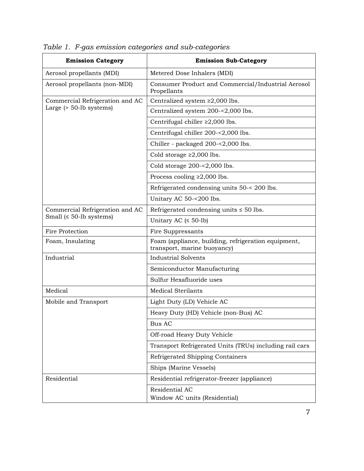| <b>Emission Category</b>        | <b>Emission Sub-Category</b>                                                       |  |  |  |  |  |
|---------------------------------|------------------------------------------------------------------------------------|--|--|--|--|--|
| Aerosol propellants (MDI)       | Metered Dose Inhalers (MDI)                                                        |  |  |  |  |  |
| Aerosol propellants (non-MDI)   | Consumer Product and Commercial/Industrial Aerosol<br>Propellants                  |  |  |  |  |  |
| Commercial Refrigeration and AC | Centralized system $\geq 2,000$ lbs.                                               |  |  |  |  |  |
| Large $($ > 50-lb systems $)$   | Centralized system 200-<2,000 lbs.                                                 |  |  |  |  |  |
|                                 | Centrifugal chiller $\geq 2,000$ lbs.                                              |  |  |  |  |  |
|                                 | Centrifugal chiller 200-<2,000 lbs.                                                |  |  |  |  |  |
|                                 | Chiller - packaged 200-<2,000 lbs.                                                 |  |  |  |  |  |
|                                 | Cold storage $\geq 2,000$ lbs.                                                     |  |  |  |  |  |
|                                 | Cold storage $200 - 2,000$ lbs.                                                    |  |  |  |  |  |
|                                 | Process cooling $\geq 2,000$ lbs.                                                  |  |  |  |  |  |
|                                 | Refrigerated condensing units 50-< 200 lbs.                                        |  |  |  |  |  |
|                                 | Unitary AC 50-<200 lbs.                                                            |  |  |  |  |  |
| Commercial Refrigeration and AC | Refrigerated condensing units $\leq 50$ lbs.                                       |  |  |  |  |  |
| Small $(50$ -lb systems)        | Unitary AC $( \leq 50$ -lb)                                                        |  |  |  |  |  |
| Fire Protection                 | Fire Suppressants                                                                  |  |  |  |  |  |
| Foam, Insulating                | Foam (appliance, building, refrigeration equipment,<br>transport, marine buoyancy) |  |  |  |  |  |
| Industrial                      | <b>Industrial Solvents</b>                                                         |  |  |  |  |  |
|                                 | Semiconductor Manufacturing                                                        |  |  |  |  |  |
|                                 | Sulfur Hexafluoride uses                                                           |  |  |  |  |  |
| Medical                         | <b>Medical Sterilants</b>                                                          |  |  |  |  |  |
| Mobile and Transport            | Light Duty (LD) Vehicle AC                                                         |  |  |  |  |  |
|                                 | Heavy Duty (HD) Vehicle (non-Bus) AC                                               |  |  |  |  |  |
|                                 | <b>Bus AC</b>                                                                      |  |  |  |  |  |
|                                 | Off-road Heavy Duty Vehicle                                                        |  |  |  |  |  |
|                                 | Transport Refrigerated Units (TRUs) including rail cars                            |  |  |  |  |  |
|                                 | Refrigerated Shipping Containers                                                   |  |  |  |  |  |
|                                 | Ships (Marine Vessels)                                                             |  |  |  |  |  |
| Residential                     | Residential refrigerator-freezer (appliance)                                       |  |  |  |  |  |
|                                 | Residential AC<br>Window AC units (Residential)                                    |  |  |  |  |  |

<span id="page-6-0"></span>*Table 1. F-gas emission categories and sub-categories*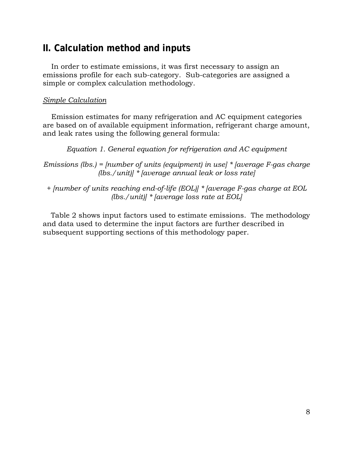# <span id="page-7-0"></span>**II. Calculation method and inputs**

 emissions profile for each sub-category. Sub-categories are assigned a simple or complex calculation methodology. In order to estimate emissions, it was first necessary to assign an

### *Simple Calculation*

Emission estimates for many refrigeration and AC equipment categories are based on of available equipment information, refrigerant charge amount, and leak rates using the following general formula:

*Equation 1. General equation for refrigeration and AC equipment* 

 *(lbs./unit)] \* [average annual leak or loss rate] Emissions (lbs.) = [number of units (equipment) in use] \* [average F-gas charge* 

*+ [number of units reaching end-of-life (EOL)] \* [average F-gas charge at EOL (lbs./unit)] \* [average loss rate at EOL]* 

Table 2 shows input factors used to estimate emissions. The methodology and data used to determine the input factors are further described in subsequent supporting sections of this methodology paper.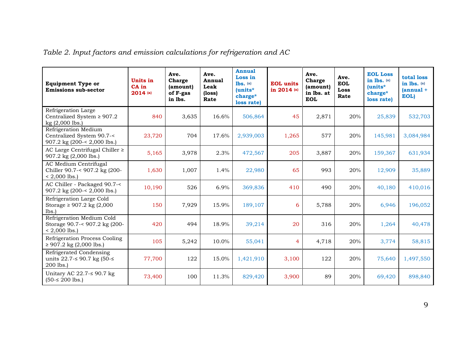|  | Table 2. Input factors and emission calculations for refrigeration and AC |  |
|--|---------------------------------------------------------------------------|--|
|--|---------------------------------------------------------------------------|--|

<span id="page-8-0"></span>

| <b>Equipment Type or</b><br><b>Emissions sub-sector</b>                          | <b>Units in</b><br>CA in<br>$2014$ (a) | Ave.<br>Charge<br>(amount)<br>of F-gas<br>in lbs. | Ave.<br><b>Annual</b><br>Leak<br>(loss)<br>Rate | <b>Annual</b><br>Loss in<br>$lbs.$ $(a)$<br>$(units*$<br>charge*<br>loss rate) | <b>EOL</b> units<br>in 2014 (a) | Ave.<br>Charge<br>(amount)<br>in lbs. at<br><b>EOL</b> | Ave.<br><b>EOL</b><br><b>Loss</b><br>Rate | <b>EOL Loss</b><br>in lbs. (a)<br>(units*<br>charge*<br>loss rate) | total loss<br>in lbs. (a)<br>${\rm (annual +}$<br>EOL) |
|----------------------------------------------------------------------------------|----------------------------------------|---------------------------------------------------|-------------------------------------------------|--------------------------------------------------------------------------------|---------------------------------|--------------------------------------------------------|-------------------------------------------|--------------------------------------------------------------------|--------------------------------------------------------|
| Refrigeration Large<br>Centralized System $\geq 907.2$<br>$kg(2,000$ lbs.)       | 840                                    | 3,635                                             | 16.6%                                           | 506,864                                                                        | 45                              | 2,871                                                  | 20%                                       | 25,839                                                             | 532,703                                                |
| Refrigeration Medium<br>Centralized System 90.7-<<br>907.2 kg (200-< 2,000 lbs.) | 23,720                                 | 704                                               | 17.6%                                           | 2,939,003                                                                      | 1,265                           | 577                                                    | 20%                                       | 145,981                                                            | 3,084,984                                              |
| AC Large Centrifugal Chiller ≥<br>907.2 kg (2,000 lbs.)                          | 5,165                                  | 3,978                                             | 2.3%                                            | 472,567                                                                        | 205                             | 3,887                                                  | 20%                                       | 159,367                                                            | 631,934                                                |
| AC Medium Centrifugal<br>Chiller 90.7-< 907.2 kg (200-<br>$< 2,000$ lbs.)        | 1,630                                  | 1,007                                             | 1.4%                                            | 22,980                                                                         | 65                              | 993                                                    | 20%                                       | 12,909                                                             | 35,889                                                 |
| AC Chiller - Packaged 90.7-<<br>907.2 kg (200-< 2,000 lbs.)                      | 10,190                                 | 526                                               | 6.9%                                            | 369,836                                                                        | 410                             | 490                                                    | 20%                                       | 40,180                                                             | 410,016                                                |
| Refrigeration Large Cold<br>Storage ≥ 907.2 kg $(2,000)$<br>lbs.                 | 150                                    | 7,929                                             | 15.9%                                           | 189,107                                                                        | 6                               | 5,788                                                  | 20%                                       | 6,946                                                              | 196,052                                                |
| Refrigeration Medium Cold<br>Storage 90.7-< 907.2 kg (200-<br>$< 2,000$ lbs.)    | 420                                    | 494                                               | 18.9%                                           | 39,214                                                                         | 20                              | 316                                                    | 20%                                       | 1,264                                                              | 40,478                                                 |
| Refrigeration Process Cooling<br>$\geq$ 907.2 kg (2,000 lbs.)                    | 105                                    | 5,242                                             | 10.0%                                           | 55,041                                                                         | 4                               | 4,718                                                  | 20%                                       | 3,774                                                              | 58,815                                                 |
| Refrigerated Condensing<br>units 22.7-≤ 90.7 kg (50-≤<br>200 lbs.)               | 77,700                                 | 122                                               | 15.0%                                           | 1,421,910                                                                      | 3,100                           | 122                                                    | 20%                                       | 75,640                                                             | 1,497,550                                              |
| Unitary AC 22.7- $\leq$ 90.7 kg<br>$(50 - 200$ lbs.)                             | 73,400                                 | 100                                               | 11.3%                                           | 829,420                                                                        | 3,900                           | 89                                                     | 20%                                       | 69,420                                                             | 898,840                                                |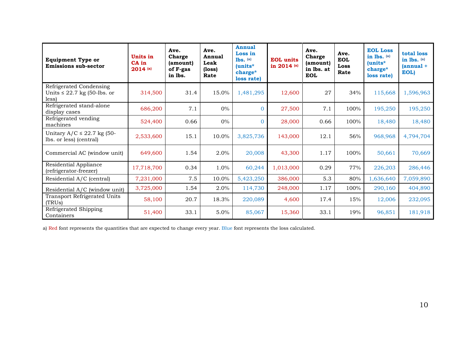| <b>Equipment Type or</b><br><b>Emissions sub-sector</b>              | Units in<br>CA in<br>$2014$ (a) | Ave.<br>Charge<br>(amount)<br>of F-gas<br>in lbs. | Ave.<br>Annual<br>Leak<br>(loss)<br>Rate | Annual<br>Loss in<br>$lbs.$ $(a)$<br>(units*<br>charge*<br>loss rate) | <b>EOL</b> units<br>in 2014 (a) | Ave.<br>Charge<br>(amount)<br>in lbs. at<br><b>EOL</b> | Ave.<br><b>EOL</b><br>Loss<br>Rate | <b>EOL Loss</b><br>in lbs. (a)<br>$l$ units $*$<br>charge*<br>loss rate) | total loss<br>in $lbs.$ (a)<br>$(annual +$<br>EOL) |
|----------------------------------------------------------------------|---------------------------------|---------------------------------------------------|------------------------------------------|-----------------------------------------------------------------------|---------------------------------|--------------------------------------------------------|------------------------------------|--------------------------------------------------------------------------|----------------------------------------------------|
| Refrigerated Condensing<br>Units $\leq$ 22.7 kg (50-lbs. or<br>less) | 314,500                         | 31.4                                              | 15.0%                                    | 1,481,295                                                             | 12,600                          | 27                                                     | 34%                                | 115,668                                                                  | 1,596,963                                          |
| Refrigerated stand-alone<br>display cases                            | 686,200                         | 7.1                                               | $0\%$                                    | $\Omega$                                                              | 27,500                          | 7.1                                                    | 100%                               | 195,250                                                                  | 195,250                                            |
| Refrigerated vending<br>machines                                     | 524,400                         | 0.66                                              | $0\%$                                    | 0                                                                     | 28,000                          | 0.66                                                   | 100%                               | 18,480                                                                   | 18,480                                             |
| Unitary $A/C \le 22.7$ kg (50-<br>lbs. or less) (central)            | 2,533,600                       | 15.1                                              | 10.0%                                    | 3,825,736                                                             | 143,000                         | 12.1                                                   | 56%                                | 968,968                                                                  | 4,794,704                                          |
| Commercial AC (window unit)                                          | 649,600                         | 1.54                                              | 2.0%                                     | 20,008                                                                | 43,300                          | 1.17                                                   | 100%                               | 50,661                                                                   | 70,669                                             |
| Residential Appliance<br>(refrigerator-freezer)                      | 17,718,700                      | 0.34                                              | 1.0%                                     | 60,244                                                                | 1,013,000                       | 0.29                                                   | 77%                                | 226,203                                                                  | 286,446                                            |
| Residential A/C (central)                                            | 7,231,000                       | 7.5                                               | 10.0%                                    | 5,423,250                                                             | 386,000                         | 5.3                                                    | 80%                                | 1,636,640                                                                | 7,059,890                                          |
| Residential A/C (window unit)                                        | 3,725,000                       | 1.54                                              | $2.0\%$                                  | 114,730                                                               | 248,000                         | 1.17                                                   | 100%                               | 290,160                                                                  | 404,890                                            |
| Transport Refrigerated Units<br>(TRUs)                               | 58,100                          | 20.7                                              | 18.3%                                    | 220,089                                                               | 4,600                           | 17.4                                                   | 15%                                | 12,006                                                                   | 232,095                                            |
| Refrigerated Shipping<br>Containers                                  | 51,400                          | 33.1                                              | 5.0%                                     | 85,067                                                                | 15,360                          | 33.1                                                   | 19%                                | 96,851                                                                   | 181,918                                            |

a) Red font represents the quantities that are expected to change every year. Blue font represents the loss calculated.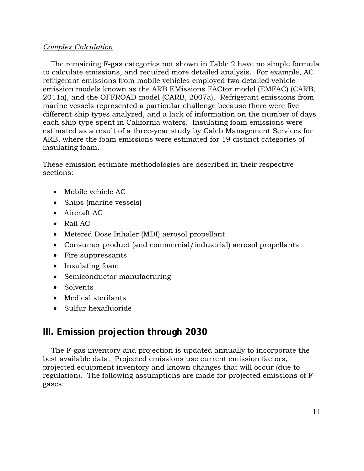#### *Complex Calculation*

 The remaining F-gas categories not shown in Table 2 have no simple formula each ship type spent in California waters. Insulating foam emissions were to calculate emissions, and required more detailed analysis. For example, AC refrigerant emissions from mobile vehicles employed two detailed vehicle emission models known as the ARB EMissions FACtor model (EMFAC) (CARB, 2011a), and the OFFROAD model (CARB, 2007a). Refrigerant emissions from marine vessels represented a particular challenge because there were five different ship types analyzed, and a lack of information on the number of days estimated as a result of a three-year study by Caleb Management Services for ARB, where the foam emissions were estimated for 19 distinct categories of insulating foam.

These emission estimate methodologies are described in their respective sections:

- Mobile vehicle AC
- Ships (marine vessels)
- Aircraft AC
- Rail AC
- Metered Dose Inhaler (MDI) aerosol propellant
- Consumer product (and commercial/industrial) aerosol propellants
- Fire suppressants
- Insulating foam
- Semiconductor manufacturing
- Solvents
- Medical sterilants
- Sulfur hexafluoride

# <span id="page-10-0"></span> **III. Emission projection through 2030**

The F-gas inventory and projection is updated annually to incorporate the best available data. Projected emissions use current emission factors, projected equipment inventory and known changes that will occur (due to regulation). The following assumptions are made for projected emissions of Fgases: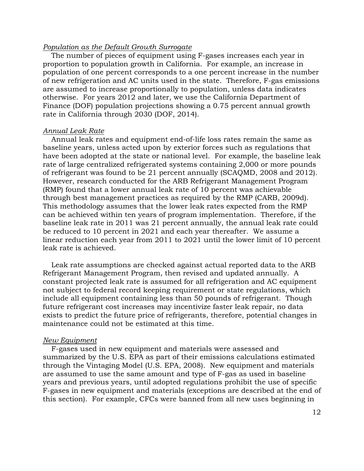#### *Population as the Default Growth Surrogate*

 population of one percent corresponds to a one percent increase in the number Finance (DOF) population projections showing a 0.75 percent annual growth rate in California through 2030 (DOF, 2014). The number of pieces of equipment using F-gases increases each year in proportion to population growth in California. For example, an increase in of new refrigeration and AC units used in the state. Therefore, F-gas emissions are assumed to increase proportionally to population, unless data indicates otherwise. For years 2012 and later, we use the California Department of

#### *Annual Leak Rate*

 (RMP) found that a lower annual leak rate of 10 percent was achievable Annual leak rates and equipment end-of-life loss rates remain the same as baseline years, unless acted upon by exterior forces such as regulations that have been adopted at the state or national level. For example, the baseline leak rate of large centralized refrigerated systems containing 2,000 or more pounds of refrigerant was found to be 21 percent annually (SCAQMD, 2008 and 2012). However, research conducted for the ARB Refrigerant Management Program through best management practices as required by the RMP (CARB, 2009d). This methodology assumes that the lower leak rates expected from the RMP can be achieved within ten years of program implementation. Therefore, if the baseline leak rate in 2011 was 21 percent annually, the annual leak rate could be reduced to 10 percent in 2021 and each year thereafter. We assume a linear reduction each year from 2011 to 2021 until the lower limit of 10 percent leak rate is achieved.

Leak rate assumptions are checked against actual reported data to the ARB Refrigerant Management Program, then revised and updated annually. A constant projected leak rate is assumed for all refrigeration and AC equipment not subject to federal record keeping requirement or state regulations, which include all equipment containing less than 50 pounds of refrigerant. Though future refrigerant cost increases may incentivize faster leak repair, no data exists to predict the future price of refrigerants, therefore, potential changes in maintenance could not be estimated at this time.

#### *New Equipment*

 are assumed to use the same amount and type of F-gas as used in baseline F-gases used in new equipment and materials were assessed and summarized by the U.S. EPA as part of their emissions calculations estimated through the Vintaging Model (U.S. EPA, 2008). New equipment and materials years and previous years, until adopted regulations prohibit the use of specific F-gases in new equipment and materials (exceptions are described at the end of this section). For example, CFCs were banned from all new uses beginning in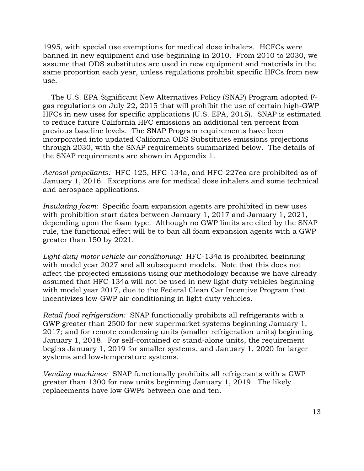1995, with special use exemptions for medical dose inhalers. HCFCs were banned in new equipment and use beginning in 2010. From 2010 to 2030, we assume that ODS substitutes are used in new equipment and materials in the same proportion each year, unless regulations prohibit specific HFCs from new use.

The U.S. EPA Significant New Alternatives Policy (SNAP) Program adopted Fgas regulations on July 22, 2015 that will prohibit the use of certain high-GWP HFCs in new uses for specific applications (U.S. EPA, 2015). SNAP is estimated to reduce future California HFC emissions an additional ten percent from previous baseline levels. The SNAP Program requirements have been incorporated into updated California ODS Substitutes emissions projections through 2030, with the SNAP requirements summarized below. The details of the SNAP requirements are shown in Appendix 1.

 *Aerosol propellants:* HFC-125, HFC-134a, and HFC-227ea are prohibited as of January 1, 2016. Exceptions are for medical dose inhalers and some technical and aerospace applications.

 *Insulating foam:* Specific foam expansion agents are prohibited in new uses with prohibition start dates between January 1, 2017 and January 1, 2021, depending upon the foam type. Although no GWP limits are cited by the SNAP rule, the functional effect will be to ban all foam expansion agents with a GWP greater than 150 by 2021.

*Light-duty motor vehicle air-conditioning:* HFC-134a is prohibited beginning with model year 2027 and all subsequent models. Note that this does not affect the projected emissions using our methodology because we have already assumed that HFC-134a will not be used in new light-duty vehicles beginning with model year 2017, due to the Federal Clean Car Incentive Program that incentivizes low-GWP air-conditioning in light-duty vehicles.

 *Retail food refrigeration:* SNAP functionally prohibits all refrigerants with a GWP greater than 2500 for new supermarket systems beginning January 1, 2017; and for remote condensing units (smaller refrigeration units) beginning January 1, 2018. For self-contained or stand-alone units, the requirement begins January 1, 2019 for smaller systems, and January 1, 2020 for larger systems and low-temperature systems.

 *Vending machines:* SNAP functionally prohibits all refrigerants with a GWP greater than 1300 for new units beginning January 1, 2019. The likely replacements have low GWPs between one and ten.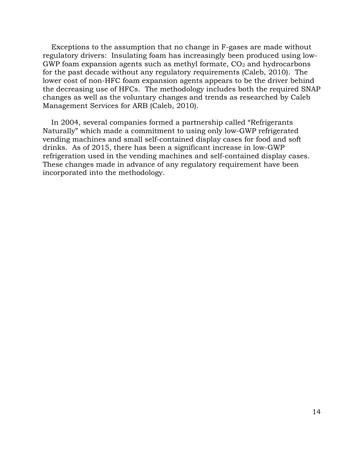Exceptions to the assumption that no change in F-gases are made without regulatory drivers: Insulating foam has increasingly been produced using low-GWP foam expansion agents such as methyl formate,  $CO<sub>2</sub>$  and hydrocarbons for the past decade without any regulatory requirements (Caleb, 2010). The lower cost of non-HFC foam expansion agents appears to be the driver behind the decreasing use of HFCs. The methodology includes both the required SNAP changes as well as the voluntary changes and trends as researched by Caleb Management Services for ARB (Caleb, 2010).

In 2004, several companies formed a partnership called "Refrigerants Naturally" which made a commitment to using only low-GWP refrigerated vending machines and small self-contained display cases for food and soft drinks. As of 2015, there has been a significant increase in low-GWP refrigeration used in the vending machines and self-contained display cases. These changes made in advance of any regulatory requirement have been incorporated into the methodology.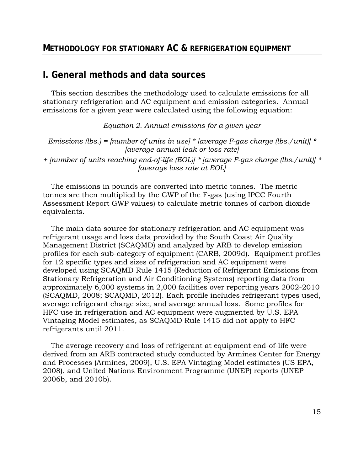### <span id="page-14-1"></span><span id="page-14-0"></span>**I. General methods and data sources**

 stationary refrigeration and AC equipment and emission categories. Annual This section describes the methodology used to calculate emissions for all emissions for a given year were calculated using the following equation:

*Equation 2. Annual emissions for a given year* 

*Emissions (lbs.) = [number of units in use] \* [average F-gas charge (lbs./unit)] \* [average annual leak or loss rate] + [number of units reaching end-of-life (EOL)] \* [average F-gas charge (lbs./unit)] \* [average loss rate at EOL]* 

The emissions in pounds are converted into metric tonnes. The metric tonnes are then multiplied by the GWP of the F-gas (using IPCC Fourth Assessment Report GWP values) to calculate metric tonnes of carbon dioxide equivalents.

The main data source for stationary refrigeration and AC equipment was refrigerant usage and loss data provided by the South Coast Air Quality Management District (SCAQMD) and analyzed by ARB to develop emission profiles for each sub-category of equipment (CARB, 2009d). Equipment profiles for 12 specific types and sizes of refrigeration and AC equipment were developed using SCAQMD Rule 1415 (Reduction of Refrigerant Emissions from Stationary Refrigeration and Air Conditioning Systems) reporting data from approximately 6,000 systems in 2,000 facilities over reporting years 2002-2010 (SCAQMD, 2008; SCAQMD, 2012). Each profile includes refrigerant types used, average refrigerant charge size, and average annual loss. Some profiles for HFC use in refrigeration and AC equipment were augmented by U.S. EPA Vintaging Model estimates, as SCAQMD Rule 1415 did not apply to HFC refrigerants until 2011.

The average recovery and loss of refrigerant at equipment end-of-life were derived from an ARB contracted study conducted by Armines Center for Energy and Processes (Armines, 2009), U.S. EPA Vintaging Model estimates (US EPA, 2008), and United Nations Environment Programme (UNEP) reports (UNEP 2006b, and 2010b).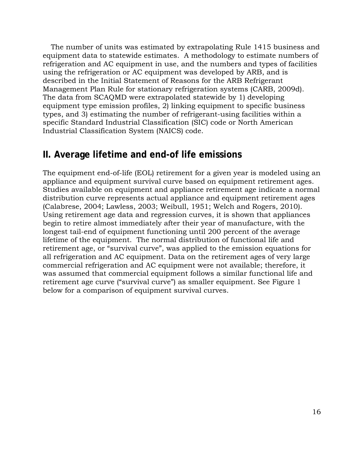The number of units was estimated by extrapolating Rule 1415 business and equipment data to statewide estimates. A methodology to estimate numbers of refrigeration and AC equipment in use, and the numbers and types of facilities using the refrigeration or AC equipment was developed by ARB, and is described in the Initial Statement of Reasons for the ARB Refrigerant Management Plan Rule for stationary refrigeration systems (CARB, 2009d). The data from SCAQMD were extrapolated statewide by 1) developing equipment type emission profiles, 2) linking equipment to specific business types, and 3) estimating the number of refrigerant-using facilities within a specific Standard Industrial Classification (SIC) code or North American Industrial Classification System (NAICS) code.

# <span id="page-15-0"></span>**II. Average lifetime and end-of life emissions**

 The equipment end-of-life (EOL) retirement for a given year is modeled using an longest tail-end of equipment functioning until 200 percent of the average appliance and equipment survival curve based on equipment retirement ages. Studies available on equipment and appliance retirement age indicate a normal distribution curve represents actual appliance and equipment retirement ages (Calabrese, 2004; Lawless, 2003; Weibull, 1951; Welch and Rogers, 2010). Using retirement age data and regression curves, it is shown that appliances begin to retire almost immediately after their year of manufacture, with the lifetime of the equipment. The normal distribution of functional life and retirement age, or "survival curve", was applied to the emission equations for all refrigeration and AC equipment. Data on the retirement ages of very large commercial refrigeration and AC equipment were not available; therefore, it was assumed that commercial equipment follows a similar functional life and retirement age curve ("survival curve") as smaller equipment. See Figure 1 below for a comparison of equipment survival curves.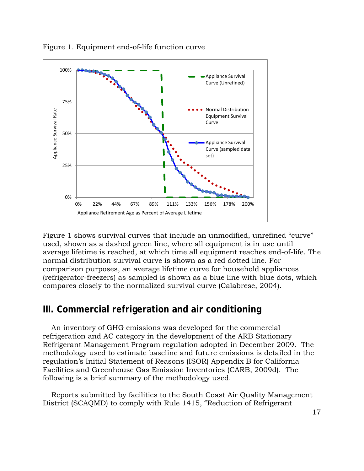

<span id="page-16-1"></span>Figure 1. Equipment end-of-life function curve

 normal distribution survival curve is shown as a red dotted line. For Figure 1 shows survival curves that include an unmodified, unrefined "curve" used, shown as a dashed green line, where all equipment is in use until average lifetime is reached, at which time all equipment reaches end-of-life. The comparison purposes, an average lifetime curve for household appliances (refrigerator-freezers) as sampled is shown as a blue line with blue dots, which compares closely to the normalized survival curve (Calabrese, 2004).

# <span id="page-16-0"></span>**III. Commercial refrigeration and air conditioning**

 Refrigerant Management Program regulation adopted in December 2009. The An inventory of GHG emissions was developed for the commercial refrigeration and AC category in the development of the ARB Stationary methodology used to estimate baseline and future emissions is detailed in the regulation's Initial Statement of Reasons (ISOR) Appendix B for California Facilities and Greenhouse Gas Emission Inventories (CARB, 2009d). The following is a brief summary of the methodology used.

Reports submitted by facilities to the South Coast Air Quality Management District (SCAQMD) to comply with Rule 1415, "Reduction of Refrigerant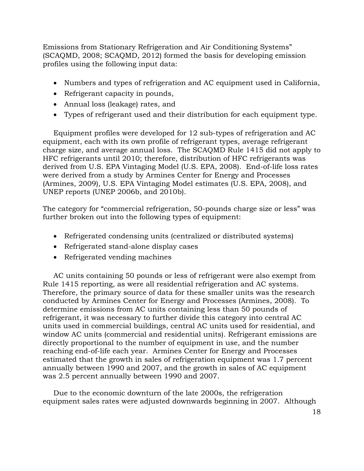Emissions from Stationary Refrigeration and Air Conditioning Systems" (SCAQMD, 2008; SCAQMD, 2012) formed the basis for developing emission profiles using the following input data:

- Numbers and types of refrigeration and AC equipment used in California,
- Refrigerant capacity in pounds,
- Annual loss (leakage) rates, and
- Types of refrigerant used and their distribution for each equipment type.

Equipment profiles were developed for 12 sub-types of refrigeration and AC equipment, each with its own profile of refrigerant types, average refrigerant charge size, and average annual loss. The SCAQMD Rule 1415 did not apply to HFC refrigerants until 2010; therefore, distribution of HFC refrigerants was derived from U.S. EPA Vintaging Model (U.S. EPA, 2008). End-of-life loss rates were derived from a study by Armines Center for Energy and Processes (Armines, 2009), U.S. EPA Vintaging Model estimates (U.S. EPA, 2008), and UNEP reports (UNEP 2006b, and 2010b).

The category for "commercial refrigeration, 50-pounds charge size or less" was further broken out into the following types of equipment:

- Refrigerated condensing units (centralized or distributed systems)
- Refrigerated stand-alone display cases
- Refrigerated vending machines

 conducted by Armines Center for Energy and Processes (Armines, 2008). To AC units containing 50 pounds or less of refrigerant were also exempt from Rule 1415 reporting, as were all residential refrigeration and AC systems. Therefore, the primary source of data for these smaller units was the research determine emissions from AC units containing less than 50 pounds of refrigerant, it was necessary to further divide this category into central AC units used in commercial buildings, central AC units used for residential, and window AC units (commercial and residential units). Refrigerant emissions are directly proportional to the number of equipment in use, and the number reaching end-of-life each year. Armines Center for Energy and Processes estimated that the growth in sales of refrigeration equipment was 1.7 percent annually between 1990 and 2007, and the growth in sales of AC equipment was 2.5 percent annually between 1990 and 2007.

Due to the economic downturn of the late 2000s, the refrigeration equipment sales rates were adjusted downwards beginning in 2007. Although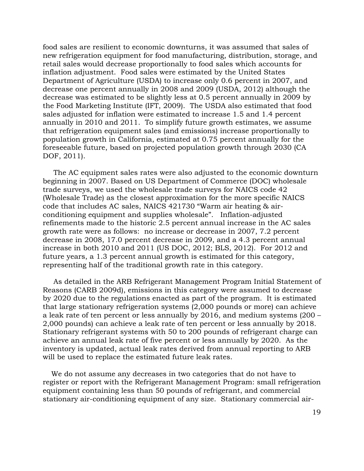food sales are resilient to economic downturns, it was assumed that sales of new refrigeration equipment for food manufacturing, distribution, storage, and retail sales would decrease proportionally to food sales which accounts for inflation adjustment. Food sales were estimated by the United States Department of Agriculture (USDA) to increase only 0.6 percent in 2007, and decrease one percent annually in 2008 and 2009 (USDA, 2012) although the decrease was estimated to be slightly less at 0.5 percent annually in 2009 by the Food Marketing Institute (IFT, 2009). The USDA also estimated that food sales adjusted for inflation were estimated to increase 1.5 and 1.4 percent annually in 2010 and 2011. To simplify future growth estimates, we assume that refrigeration equipment sales (and emissions) increase proportionally to population growth in California, estimated at 0.75 percent annually for the foreseeable future, based on projected population growth through 2030 (CA DOF, 2011).

 conditioning equipment and supplies wholesale". Inflation-adjusted The AC equipment sales rates were also adjusted to the economic downturn beginning in 2007. Based on US Department of Commerce (DOC) wholesale trade surveys, we used the wholesale trade surveys for NAICS code 42 (Wholesale Trade) as the closest approximation for the more specific NAICS code that includes AC sales, NAICS 421730 "Warm air heating & airrefinements made to the historic 2.5 percent annual increase in the AC sales growth rate were as follows: no increase or decrease in 2007, 7.2 percent decrease in 2008, 17.0 percent decrease in 2009, and a 4.3 percent annual increase in both 2010 and 2011 (US DOC, 2012; BLS, 2012). For 2012 and future years, a 1.3 percent annual growth is estimated for this category, representing half of the traditional growth rate in this category.

As detailed in the ARB Refrigerant Management Program Initial Statement of Reasons (CARB 2009d), emissions in this category were assumed to decrease by 2020 due to the regulations enacted as part of the program. It is estimated that large stationary refrigeration systems (2,000 pounds or more) can achieve a leak rate of ten percent or less annually by 2016, and medium systems (200 – 2,000 pounds) can achieve a leak rate of ten percent or less annually by 2018. Stationary refrigerant systems with 50 to 200 pounds of refrigerant charge can achieve an annual leak rate of five percent or less annually by 2020. As the inventory is updated, actual leak rates derived from annual reporting to ARB will be used to replace the estimated future leak rates.

We do not assume any decreases in two categories that do not have to register or report with the Refrigerant Management Program: small refrigeration equipment containing less than 50 pounds of refrigerant, and commercial stationary air-conditioning equipment of any size. Stationary commercial air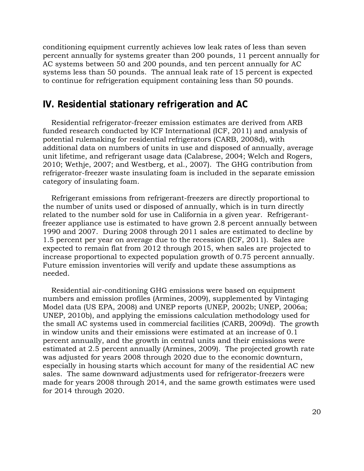conditioning equipment currently achieves low leak rates of less than seven percent annually for systems greater than 200 pounds, 11 percent annually for AC systems between 50 and 200 pounds, and ten percent annually for AC systems less than 50 pounds. The annual leak rate of 15 percent is expected to continue for refrigeration equipment containing less than 50 pounds.

### <span id="page-19-0"></span>**IV. Residential stationary refrigeration and AC**

Residential refrigerator-freezer emission estimates are derived from ARB funded research conducted by ICF International (ICF, 2011) and analysis of potential rulemaking for residential refrigerators (CARB, 2008d), with additional data on numbers of units in use and disposed of annually, average unit lifetime, and refrigerant usage data (Calabrese, 2004; Welch and Rogers, 2010; Wethje, 2007; and Westberg, et al., 2007). The GHG contribution from refrigerator-freezer waste insulating foam is included in the separate emission category of insulating foam.

 1990 and 2007. During 2008 through 2011 sales are estimated to decline by needed. Refrigerant emissions from refrigerant-freezers are directly proportional to the number of units used or disposed of annually, which is in turn directly related to the number sold for use in California in a given year. Refrigerantfreezer appliance use is estimated to have grown 2.8 percent annually between 1.5 percent per year on average due to the recession (ICF, 2011). Sales are expected to remain flat from 2012 through 2015, when sales are projected to increase proportional to expected population growth of 0.75 percent annually. Future emission inventories will verify and update these assumptions as

Residential air-conditioning GHG emissions were based on equipment numbers and emission profiles (Armines, 2009), supplemented by Vintaging Model data (US EPA, 2008) and UNEP reports (UNEP, 2002b; UNEP, 2006a; UNEP, 2010b), and applying the emissions calculation methodology used for the small AC systems used in commercial facilities (CARB, 2009d). The growth in window units and their emissions were estimated at an increase of 0.1 percent annually, and the growth in central units and their emissions were estimated at 2.5 percent annually (Armines, 2009). The projected growth rate was adjusted for years 2008 through 2020 due to the economic downturn, especially in housing starts which account for many of the residential AC new sales. The same downward adjustments used for refrigerator-freezers were made for years 2008 through 2014, and the same growth estimates were used for 2014 through 2020.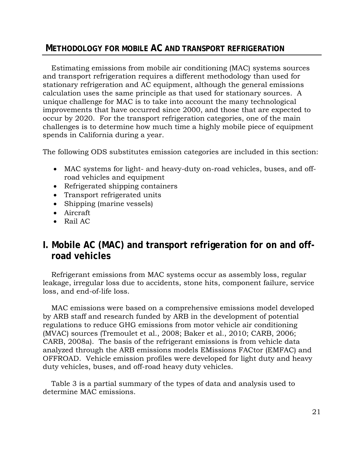### <span id="page-20-0"></span>**METHODOLOGY FOR MOBILE AC AND TRANSPORT REFRIGERATION**

Estimating emissions from mobile air conditioning (MAC) systems sources and transport refrigeration requires a different methodology than used for stationary refrigeration and AC equipment, although the general emissions calculation uses the same principle as that used for stationary sources. A unique challenge for MAC is to take into account the many technological improvements that have occurred since 2000, and those that are expected to occur by 2020. For the transport refrigeration categories, one of the main challenges is to determine how much time a highly mobile piece of equipment spends in California during a year.

The following ODS substitutes emission categories are included in this section:

- MAC systems for light- and heavy-duty on-road vehicles, buses, and offroad vehicles and equipment
- Refrigerated shipping containers
- Transport refrigerated units
- Shipping (marine vessels)
- Aircraft
- <span id="page-20-1"></span>• Rail AC

# **I. Mobile AC (MAC) and transport refrigeration for on and offroad vehicles**

Refrigerant emissions from MAC systems occur as assembly loss, regular leakage, irregular loss due to accidents, stone hits, component failure, service loss, and end-of-life loss.

MAC emissions were based on a comprehensive emissions model developed by ARB staff and research funded by ARB in the development of potential regulations to reduce GHG emissions from motor vehicle air conditioning (MVAC) sources (Tremoulet et al., 2008; Baker et al., 2010; CARB, 2006; CARB, 2008a). The basis of the refrigerant emissions is from vehicle data analyzed through the ARB emissions models EMissions FACtor (EMFAC) and OFFROAD. Vehicle emission profiles were developed for light duty and heavy duty vehicles, buses, and off-road heavy duty vehicles.

Table 3 is a partial summary of the types of data and analysis used to determine MAC emissions.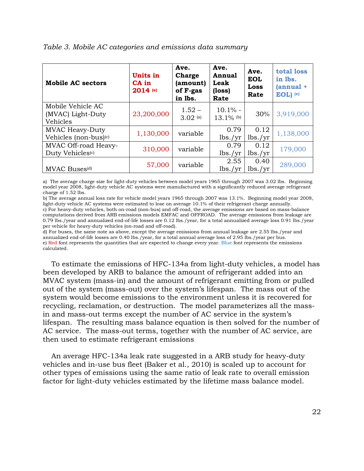| <b>Mobile AC sectors</b>                                    | Units in<br>CA in<br>2014 (e) | Ave.<br><b>Charge</b><br>(amount)<br>of F-gas<br>in lbs. | Ave.<br><b>Annual</b><br>Leak<br>(loss)<br>Rate | Ave.<br><b>EOL</b><br><b>Loss</b><br>Rate | total loss<br>in lbs.<br>$(annual +$<br>EOL) (e) |
|-------------------------------------------------------------|-------------------------------|----------------------------------------------------------|-------------------------------------------------|-------------------------------------------|--------------------------------------------------|
| Mobile Vehicle AC<br>(MVAC) Light-Duty<br>Vehicles          | 23,200,000                    | $1.52 -$<br>$3.02$ (a)                                   | $10.1\%$ -<br>$13.1\%$ (b)                      | 30%                                       | 3,919,000                                        |
| <b>MVAC Heavy-Duty</b><br>Vehicles (non-bus) <sup>(c)</sup> | 1,130,000                     | variable                                                 | 0.79<br>lbs./yr                                 | 0.12<br>lbs./yr                           | 1,138,000                                        |
| MVAC Off-road Heavy-<br>Duty Vehicles <sup>(c)</sup>        | 310,000                       | variable                                                 | 0.79<br>lbs./yr                                 | 0.12<br>lbs./yr                           | 179,000                                          |
| MVAC Buses <sup>(d)</sup>                                   | 57,000                        | variable                                                 | 2.55<br>lbs./vr                                 | 0.40<br>lbs./yr                           | 289,000                                          |

#### <span id="page-21-0"></span>*Table 3. Mobile AC categories and emissions data summary*

 a) The average charge size for light-duty vehicles between model years 1965 through 2007 was 3.02 lbs. Beginning model year 2008, light-duty vehicle AC systems were manufactured with a significantly reduced average refrigerant charge of 1.52 lbs.

 b) The average annual loss rate for vehicle model years 1965 through 2007 was 13.1%. Beginning model year 2008, light-duty vehicle AC systems were estimated to lose on average 10.1% of their refrigerant charge annually. c) For heavy-duty vehicles, both on-road (non-bus) and off-road, the average emissions are based on mass-balance computations derived from ARB emissions models EMFAC and OFFROAD. The average emissions from leakage are 0.79 lbs./year and annualized end-of-life losses are 0.12 lbs./year, for a total annualized average loss 0.91 lbs./year per vehicle for heavy-duty vehicles (on-road and off-road).

 d) For buses, the same note as above, except the average emissions from annual leakage are 2.55 lbs./year and annualized end-of-life losses are 0.40 lbs./year, for a total annual average loss of 2.95 lbs./year per bus. e) Red font represents the quantities that are expected to change every year. Blue font represents the emissions calculated.

To estimate the emissions of HFC-134a from light-duty vehicles, a model has been developed by ARB to balance the amount of refrigerant added into an MVAC system (mass-in) and the amount of refrigerant emitting from or pulled out of the system (mass-out) over the system's lifespan. The mass out of the system would become emissions to the environment unless it is recovered for recycling, reclamation, or destruction. The model parameterizes all the massin and mass-out terms except the number of AC service in the system's lifespan. The resulting mass balance equation is then solved for the number of AC service. The mass-out terms, together with the number of AC service, are then used to estimate refrigerant emissions

An average HFC-134a leak rate suggested in a ARB study for heavy-duty vehicles and in-use bus fleet (Baker et al., 2010) is scaled up to account for other types of emissions using the same ratio of leak rate to overall emission factor for light-duty vehicles estimated by the lifetime mass balance model.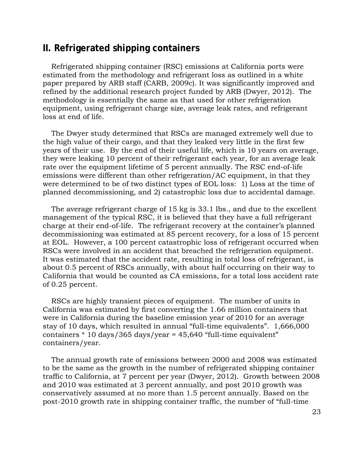## <span id="page-22-0"></span>**II. Refrigerated shipping containers**

 Refrigerated shipping container (RSC) emissions at California ports were estimated from the methodology and refrigerant loss as outlined in a white paper prepared by ARB staff (CARB, 2009c). It was significantly improved and refined by the additional research project funded by ARB (Dwyer, 2012). The methodology is essentially the same as that used for other refrigeration equipment, using refrigerant charge size, average leak rates, and refrigerant loss at end of life.

The Dwyer study determined that RSCs are managed extremely well due to the high value of their cargo, and that they leaked very little in the first few years of their use. By the end of their useful life, which is 10 years on average, they were leaking 10 percent of their refrigerant each year, for an average leak rate over the equipment lifetime of 5 percent annually. The RSC end-of-life emissions were different than other refrigeration/AC equipment, in that they were determined to be of two distinct types of EOL loss: 1) Loss at the time of planned decommissioning, and 2) catastrophic loss due to accidental damage.

 It was estimated that the accident rate, resulting in total loss of refrigerant, is The average refrigerant charge of 15 kg is 33.1 lbs., and due to the excellent management of the typical RSC, it is believed that they have a full refrigerant charge at their end-of-life. The refrigerant recovery at the container's planned decommissioning was estimated at 85 percent recovery, for a loss of 15 percent at EOL. However, a 100 percent catastrophic loss of refrigerant occurred when RSCs were involved in an accident that breached the refrigeration equipment. about 0.5 percent of RSCs annually, with about half occurring on their way to California that would be counted as CA emissions, for a total loss accident rate of 0.25 percent.

RSCs are highly transient pieces of equipment. The number of units in California was estimated by first converting the 1.66 million containers that were in California during the baseline emission year of 2010 for an average stay of 10 days, which resulted in annual "full-time equivalents". 1,666,000 containers \* 10 days/365 days/year = 45,640 "full-time equivalent" containers/year.

The annual growth rate of emissions between 2000 and 2008 was estimated to be the same as the growth in the number of refrigerated shipping container traffic to California, at 7 percent per year (Dwyer, 2012). Growth between 2008 and 2010 was estimated at 3 percent annually, and post 2010 growth was conservatively assumed at no more than 1.5 percent annually. Based on the post-2010 growth rate in shipping container traffic, the number of "full-time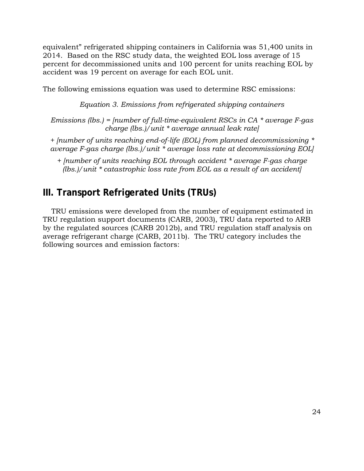equivalent" refrigerated shipping containers in California was 51,400 units in 2014. Based on the RSC study data, the weighted EOL loss average of 15 percent for decommissioned units and 100 percent for units reaching EOL by accident was 19 percent on average for each EOL unit.

The following emissions equation was used to determine RSC emissions:

*Equation 3. Emissions from refrigerated shipping containers* 

 *charge (lbs.)/unit \* average annual leak rate] Emissions (lbs.) = [number of full-time-equivalent RSCs in CA \* average F-gas* 

 *average F-gas charge (lbs.)/unit \* average loss rate at decommissioning EOL] + [number of units reaching end-of-life (EOL) from planned decommissioning \** 

 *+ [number of units reaching EOL through accident \* average F-gas charge (lbs.)/unit \* catastrophic loss rate from EOL as a result of an accident]* 

# <span id="page-23-0"></span>**III. Transport Refrigerated Units (TRUs)**

TRU emissions were developed from the number of equipment estimated in TRU regulation support documents (CARB, 2003), TRU data reported to ARB by the regulated sources (CARB 2012b), and TRU regulation staff analysis on average refrigerant charge (CARB, 2011b). The TRU category includes the following sources and emission factors: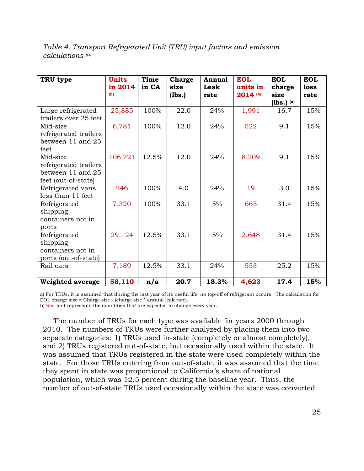<span id="page-24-0"></span>

| Table 4. Transport Refrigerated Unit (TRU) input factors and emission |  |  |
|-----------------------------------------------------------------------|--|--|
| calculations (a)                                                      |  |  |

| TRU type                                                                      | <b>Units</b><br>in 2014<br>(b) | Time<br>in CA | Charge<br>size<br>(lbs.) | <b>Annual</b><br>Leak<br>rate | <b>EOL</b><br>units in<br>2014 (b) | <b>EOL</b><br>charge<br>size<br>$(lbs.)$ (a) | <b>EOL</b><br>loss<br>rate |
|-------------------------------------------------------------------------------|--------------------------------|---------------|--------------------------|-------------------------------|------------------------------------|----------------------------------------------|----------------------------|
| Large refrigerated<br>trailers over 25 feet                                   | 25,885                         | 100%          | 22.0                     | 24%                           | 1,991                              | 16.7                                         | 15%                        |
| Mid-size<br>refrigerated trailers<br>between 11 and 25<br>feet                | 6,781                          | 100%          | 12.0                     | 24%                           | 522                                | 9.1                                          | 15%                        |
| Mid-size<br>refrigerated trailers<br>between 11 and 25<br>feet (out-of-state) | 106,721                        | 12.5%         | 12.0                     | 24%                           | 8,209                              | 9.1                                          | 15%                        |
| Refrigerated vans<br>less than 11 feet                                        | 246                            | 100%          | 4.0                      | 24%                           | 19                                 | 3.0                                          | 15%                        |
| Refrigerated<br>shipping<br>containers not in<br>ports                        | 7,320                          | 100%          | 33.1                     | $5\%$                         | 665                                | 31.4                                         | 15%                        |
| Refrigerated<br>shipping<br>containers not in<br>ports (out-of-state)         | 29,124                         | 12.5%         | 33.1                     | 5%                            | 2,648                              | 31.4                                         | 15%                        |
| Rail cars                                                                     | 7,189                          | 12.5%         | 33.1                     | 24%                           | 553                                | 25.2                                         | 15%                        |
| <b>Weighted average</b>                                                       | 58,110                         | n/a           | 20.7                     | 18.3%                         | 4,623                              | 17.4                                         | 15%                        |

 a) For TRUs, it is assumed that during the last year of its useful life, no top-off of refrigerant occurs. The calculation for EOL charge size = Charge size - (charge size \* annual leak rate).

b) Red font represents the quantities that are expected to change every year.

The number of TRUs for each type was available for years 2000 through 2010. The numbers of TRUs were further analyzed by placing them into two separate categories: 1) TRUs used in-state (completely or almost completely), and 2) TRUs registered out-of-state, but occasionally used within the state. It was assumed that TRUs registered in the state were used completely within the state. For those TRUs entering from out-of-state, it was assumed that the time they spent in state was proportional to California's share of national population, which was 12.5 percent during the baseline year. Thus, the number of out-of-state TRUs used occasionally within the state was converted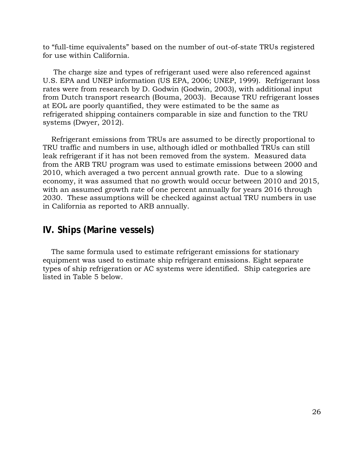to "full-time equivalents" based on the number of out-of-state TRUs registered for use within California.

The charge size and types of refrigerant used were also referenced against U.S. EPA and UNEP information (US EPA, 2006; UNEP, 1999). Refrigerant loss rates were from research by D. Godwin (Godwin, 2003), with additional input from Dutch transport research (Bouma, 2003). Because TRU refrigerant losses at EOL are poorly quantified, they were estimated to be the same as refrigerated shipping containers comparable in size and function to the TRU systems (Dwyer, 2012).

Refrigerant emissions from TRUs are assumed to be directly proportional to TRU traffic and numbers in use, although idled or mothballed TRUs can still leak refrigerant if it has not been removed from the system. Measured data from the ARB TRU program was used to estimate emissions between 2000 and 2010, which averaged a two percent annual growth rate. Due to a slowing economy, it was assumed that no growth would occur between 2010 and 2015, with an assumed growth rate of one percent annually for years 2016 through 2030. These assumptions will be checked against actual TRU numbers in use in California as reported to ARB annually.

# <span id="page-25-0"></span> **IV. Ships (Marine vessels)**

The same formula used to estimate refrigerant emissions for stationary equipment was used to estimate ship refrigerant emissions. Eight separate types of ship refrigeration or AC systems were identified. Ship categories are listed in Table 5 below.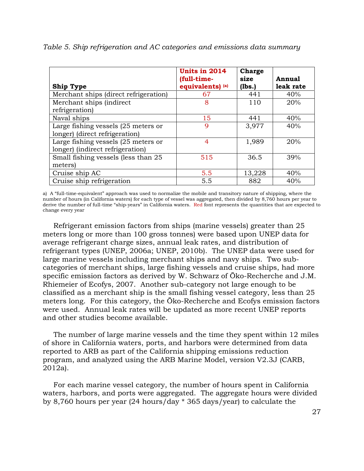| <b>Ship Type</b>                      | Units in 2014<br>(full-time-<br>equivalents) (a) | <b>Charge</b><br>size<br>(lbs.) | Annual<br>leak rate |
|---------------------------------------|--------------------------------------------------|---------------------------------|---------------------|
| Merchant ships (direct refrigeration) | 67                                               | 441                             | 40%                 |
| Merchant ships (indirect              | 8                                                | 110                             | 20%                 |
| refrigeration)                        |                                                  |                                 |                     |
| Naval ships                           | 15                                               | 441                             | 40%                 |
| Large fishing vessels (25 meters or   | 9                                                | 3,977                           | 40%                 |
| longer) (direct refrigeration)        |                                                  |                                 |                     |
| Large fishing vessels (25 meters or   | $\overline{4}$                                   | 1,989                           | 20%                 |
| longer) (indirect refrigeration)      |                                                  |                                 |                     |
| Small fishing vessels (less than 25   | 515                                              | 36.5                            | 39%                 |
| meters)                               |                                                  |                                 |                     |
| Cruise ship AC                        | 5.5                                              | 13,228                          | 40%                 |
| Cruise ship refrigeration             | 5.5                                              | 882                             | 40%                 |

<span id="page-26-0"></span>*Table 5. Ship refrigeration and AC categories and emissions data summary* 

 a) A "full-time-equivalent" approach was used to normalize the mobile and transitory nature of shipping, where the number of hours (in California waters) for each type of vessel was aggregated, then divided by 8,760 hours per year to derive the number of full-time "ship-years" in California waters. Red font represents the quantities that are expected to change every year

Refrigerant emission factors from ships (marine vessels) greater than 25 meters long or more than 100 gross tonnes) were based upon UNEP data for average refrigerant charge sizes, annual leak rates, and distribution of refrigerant types (UNEP, 2006a; UNEP, 2010b). The UNEP data were used for large marine vessels including merchant ships and navy ships. Two subcategories of merchant ships, large fishing vessels and cruise ships, had more specific emission factors as derived by W. Schwarz of Öko-Recherche and J.M. Rhiemeier of Ecofys, 2007. Another sub-category not large enough to be classified as a merchant ship is the small fishing vessel category, less than 25 meters long. For this category, the Öko-Recherche and Ecofys emission factors were used. Annual leak rates will be updated as more recent UNEP reports and other studies become available.

The number of large marine vessels and the time they spent within 12 miles of shore in California waters, ports, and harbors were determined from data reported to ARB as part of the California shipping emissions reduction program, and analyzed using the ARB Marine Model, version V2.3J (CARB, 2012a).

For each marine vessel category, the number of hours spent in California waters, harbors, and ports were aggregated. The aggregate hours were divided by 8,760 hours per year (24 hours/day \* 365 days/year) to calculate the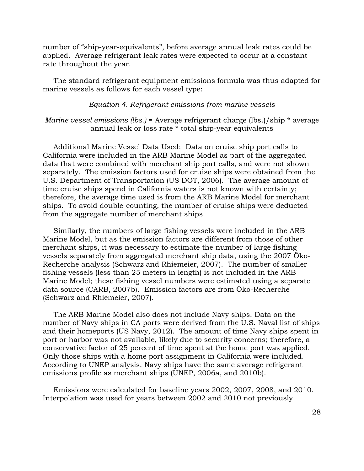number of "ship-year-equivalents", before average annual leak rates could be applied. Average refrigerant leak rates were expected to occur at a constant rate throughout the year.

The standard refrigerant equipment emissions formula was thus adapted for marine vessels as follows for each vessel type:

#### *Equation 4. Refrigerant emissions from marine vessels*

#### *Marine vessel emissions (lbs.)* = Average refrigerant charge (lbs.)/ship \* average annual leak or loss rate \* total ship-year equivalents

Additional Marine Vessel Data Used: Data on cruise ship port calls to California were included in the ARB Marine Model as part of the aggregated data that were combined with merchant ship port calls, and were not shown separately. The emission factors used for cruise ships were obtained from the U.S. Department of Transportation (US DOT, 2006). The average amount of time cruise ships spend in California waters is not known with certainty; therefore, the average time used is from the ARB Marine Model for merchant ships. To avoid double-counting, the number of cruise ships were deducted from the aggregate number of merchant ships.

 Marine Model, but as the emission factors are different from those of other Similarly, the numbers of large fishing vessels were included in the ARB merchant ships, it was necessary to estimate the number of large fishing vessels separately from aggregated merchant ship data, using the 2007 Öko-Recherche analysis (Schwarz and Rhiemeier, 2007). The number of smaller fishing vessels (less than 25 meters in length) is not included in the ARB Marine Model; these fishing vessel numbers were estimated using a separate data source (CARB, 2007b). Emission factors are from Öko-Recherche (Schwarz and Rhiemeier, 2007).

The ARB Marine Model also does not include Navy ships. Data on the number of Navy ships in CA ports were derived from the U.S. Naval list of ships and their homeports (US Navy, 2012). The amount of time Navy ships spent in port or harbor was not available, likely due to security concerns; therefore, a conservative factor of 25 percent of time spent at the home port was applied. Only those ships with a home port assignment in California were included. According to UNEP analysis, Navy ships have the same average refrigerant emissions profile as merchant ships (UNEP, 2006a, and 2010b).

Emissions were calculated for baseline years 2002, 2007, 2008, and 2010. Interpolation was used for years between 2002 and 2010 not previously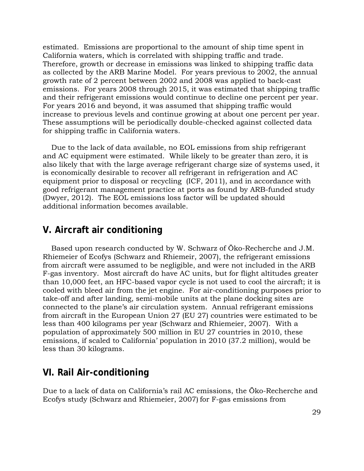estimated. Emissions are proportional to the amount of ship time spent in California waters, which is correlated with shipping traffic and trade. Therefore, growth or decrease in emissions was linked to shipping traffic data as collected by the ARB Marine Model. For years previous to 2002, the annual growth rate of 2 percent between 2002 and 2008 was applied to back-cast emissions. For years 2008 through 2015, it was estimated that shipping traffic and their refrigerant emissions would continue to decline one percent per year. For years 2016 and beyond, it was assumed that shipping traffic would increase to previous levels and continue growing at about one percent per year. These assumptions will be periodically double-checked against collected data for shipping traffic in California waters.

Due to the lack of data available, no EOL emissions from ship refrigerant and AC equipment were estimated. While likely to be greater than zero, it is also likely that with the large average refrigerant charge size of systems used, it is economically desirable to recover all refrigerant in refrigeration and AC equipment prior to disposal or recycling (ICF, 2011), and in accordance with good refrigerant management practice at ports as found by ARB-funded study (Dwyer, 2012). The EOL emissions loss factor will be updated should additional information becomes available.

# <span id="page-28-0"></span>**V. Aircraft air conditioning**

Based upon research conducted by W. Schwarz of Öko-Recherche and J.M. Rhiemeier of Ecofys (Schwarz and Rhiemeir, 2007), the refrigerant emissions from aircraft were assumed to be negligible, and were not included in the ARB F-gas inventory. Most aircraft do have AC units, but for flight altitudes greater than 10,000 feet, an HFC-based vapor cycle is not used to cool the aircraft; it is cooled with bleed air from the jet engine. For air-conditioning purposes prior to take-off and after landing, semi-mobile units at the plane docking sites are connected to the plane's air circulation system. Annual refrigerant emissions from aircraft in the European Union 27 (EU 27) countries were estimated to be less than 400 kilograms per year (Schwarz and Rhiemeier, 2007). With a population of approximately 500 million in EU 27 countries in 2010, these emissions, if scaled to California' population in 2010 (37.2 million), would be less than 30 kilograms.

### <span id="page-28-1"></span>**VI. Rail Air-conditioning**

Due to a lack of data on California's rail AC emissions, the Öko-Recherche and Ecofys study (Schwarz and Rhiemeier, 2007) for F-gas emissions from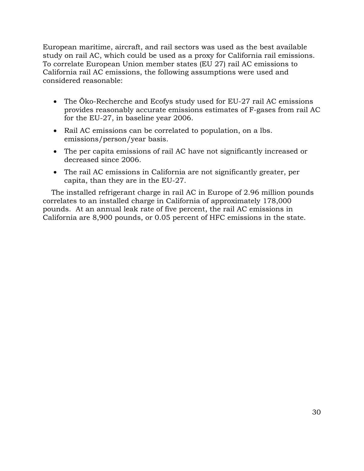European maritime, aircraft, and rail sectors was used as the best available study on rail AC, which could be used as a proxy for California rail emissions. To correlate European Union member states (EU 27) rail AC emissions to California rail AC emissions, the following assumptions were used and considered reasonable:

- The Öko-Recherche and Ecofys study used for EU-27 rail AC emissions provides reasonably accurate emissions estimates of F-gases from rail AC for the EU-27, in baseline year 2006.
- Rail AC emissions can be correlated to population, on a lbs. emissions/person/year basis.
- The per capita emissions of rail AC have not significantly increased or decreased since 2006.
- The rail AC emissions in California are not significantly greater, per capita, than they are in the EU-27.

The installed refrigerant charge in rail AC in Europe of 2.96 million pounds correlates to an installed charge in California of approximately 178,000 pounds. At an annual leak rate of five percent, the rail AC emissions in California are 8,900 pounds, or 0.05 percent of HFC emissions in the state.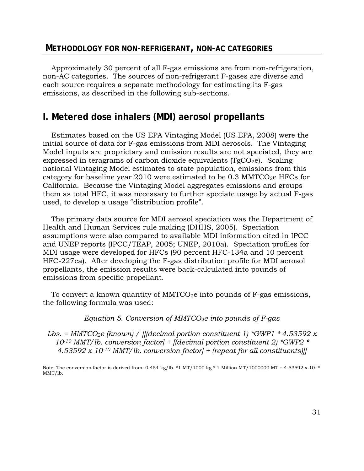### <span id="page-30-0"></span>**METHODOLOGY FOR NON-REFRIGERANT, NON-AC CATEGORIES**

Approximately 30 percent of all F-gas emissions are from non-refrigeration, non-AC categories. The sources of non-refrigerant F-gases are diverse and each source requires a separate methodology for estimating its F-gas emissions, as described in the following sub-sections.

# <span id="page-30-1"></span>**I. Metered dose inhalers (MDI) aerosol propellants**

Estimates based on the US EPA Vintaging Model (US EPA, 2008) were the initial source of data for F-gas emissions from MDI aerosols. The Vintaging Model inputs are proprietary and emission results are not speciated, they are expressed in teragrams of carbon dioxide equivalents ( $TgCO<sub>2</sub>e$ ). Scaling national Vintaging Model estimates to state population, emissions from this category for baseline year 2010 were estimated to be  $0.3 \text{ MMTCO}_2$ e HFCs for California. Because the Vintaging Model aggregates emissions and groups them as total HFC, it was necessary to further speciate usage by actual F-gas used, to develop a usage "distribution profile".

The primary data source for MDI aerosol speciation was the Department of Health and Human Services rule making (DHHS, 2005). Speciation assumptions were also compared to available MDI information cited in IPCC and UNEP reports (IPCC/TEAP, 2005; UNEP, 2010a). Speciation profiles for MDI usage were developed for HFCs (90 percent HFC-134a and 10 percent HFC-227ea). After developing the F-gas distribution profile for MDI aerosol propellants, the emission results were back-calculated into pounds of emissions from specific propellant.

To convert a known quantity of  $MMTCO<sub>2</sub>e$  into pounds of  $F-gas$  emissions, the following formula was used:

*Equation 5. Conversion of MMTCO2e into pounds of F-gas* 

 *4.53592 x 10-10 MMT/lb. conversion factor] + (repeat for all constituents)]]*  Lbs. = MMTCO<sub>2</sub>e (known) / [[(decimal portion constituent 1) \*GWP1 \* 4.53592 x *10-10 MMT/lb. conversion factor] + [(decimal portion constituent 2) \*GWP2 \** 

 Note: The conversion factor is derived from: 0.454 kg/lb. \*1 MT/1000 kg \* 1 Million MT/1000000 MT = 4.53592 x 10-10 MMT/lb.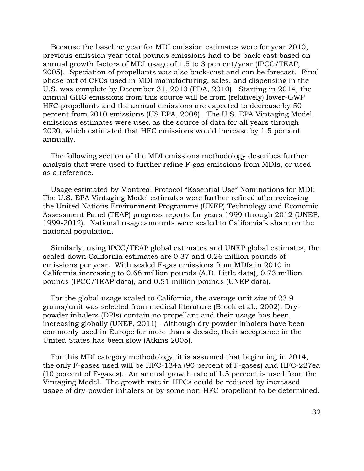Because the baseline year for MDI emission estimates were for year 2010, previous emission year total pounds emissions had to be back-cast based on annual growth factors of MDI usage of 1.5 to 3 percent/year (IPCC/TEAP, 2005). Speciation of propellants was also back-cast and can be forecast. Final phase-out of CFCs used in MDI manufacturing, sales, and dispensing in the U.S. was complete by December 31, 2013 (FDA, 2010). Starting in 2014, the annual GHG emissions from this source will be from (relatively) lower-GWP HFC propellants and the annual emissions are expected to decrease by 50 percent from 2010 emissions (US EPA, 2008). The U.S. EPA Vintaging Model emissions estimates were used as the source of data for all years through 2020, which estimated that HFC emissions would increase by 1.5 percent annually.

The following section of the MDI emissions methodology describes further analysis that were used to further refine F-gas emissions from MDIs, or used as a reference.

Usage estimated by Montreal Protocol "Essential Use" Nominations for MDI: The U.S. EPA Vintaging Model estimates were further refined after reviewing the United Nations Environment Programme (UNEP) Technology and Economic Assessment Panel (TEAP) progress reports for years 1999 through 2012 (UNEP, 1999-2012). National usage amounts were scaled to California's share on the national population.

Similarly, using IPCC/TEAP global estimates and UNEP global estimates, the scaled-down California estimates are 0.37 and 0.26 million pounds of emissions per year. With scaled F-gas emissions from MDIs in 2010 in California increasing to 0.68 million pounds (A.D. Little data), 0.73 million pounds (IPCC/TEAP data), and 0.51 million pounds (UNEP data).

For the global usage scaled to California, the average unit size of 23.9 grams/unit was selected from medical literature (Brock et al., 2002). Drypowder inhalers (DPIs) contain no propellant and their usage has been increasing globally (UNEP, 2011). Although dry powder inhalers have been commonly used in Europe for more than a decade, their acceptance in the United States has been slow (Atkins 2005).

 For this MDI category methodology, it is assumed that beginning in 2014, the only F-gases used will be HFC-134a (90 percent of F-gases) and HFC-227ea (10 percent of F-gases). An annual growth rate of 1.5 percent is used from the Vintaging Model. The growth rate in HFCs could be reduced by increased usage of dry-powder inhalers or by some non-HFC propellant to be determined.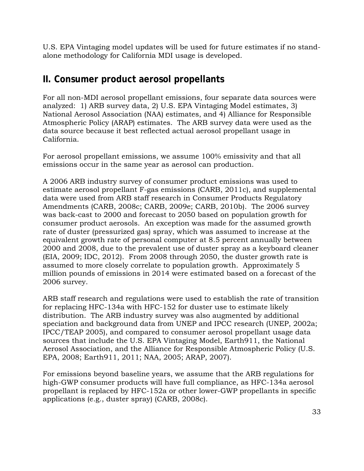U.S. EPA Vintaging model updates will be used for future estimates if no standalone methodology for California MDI usage is developed.

# <span id="page-32-0"></span>**II. Consumer product aerosol propellants**

For all non-MDI aerosol propellant emissions, four separate data sources were analyzed: 1) ARB survey data, 2) U.S. EPA Vintaging Model estimates, 3) National Aerosol Association (NAA) estimates, and 4) Alliance for Responsible Atmospheric Policy (ARAP) estimates. The ARB survey data were used as the data source because it best reflected actual aerosol propellant usage in California.

 emissions occur in the same year as aerosol can production. For aerosol propellant emissions, we assume 100% emissivity and that all

A 2006 ARB industry survey of consumer product emissions was used to estimate aerosol propellant F-gas emissions (CARB, 2011c), and supplemental data were used from ARB staff research in Consumer Products Regulatory Amendments (CARB, 2008c; CARB, 2009e; CARB, 2010b). The 2006 survey was back-cast to 2000 and forecast to 2050 based on population growth for consumer product aerosols. An exception was made for the assumed growth rate of duster (pressurized gas) spray, which was assumed to increase at the equivalent growth rate of personal computer at 8.5 percent annually between 2000 and 2008, due to the prevalent use of duster spray as a keyboard cleaner (EIA, 2009; IDC, 2012). From 2008 through 2050, the duster growth rate is assumed to more closely correlate to population growth. Approximately 5 million pounds of emissions in 2014 were estimated based on a forecast of the 2006 survey.

ARB staff research and regulations were used to establish the rate of transition for replacing HFC-134a with HFC-152 for duster use to estimate likely distribution. The ARB industry survey was also augmented by additional speciation and background data from UNEP and IPCC research (UNEP, 2002a; IPCC/TEAP 2005), and compared to consumer aerosol propellant usage data sources that include the U.S. EPA Vintaging Model, Earth911, the National Aerosol Association, and the Alliance for Responsible Atmospheric Policy (U.S. EPA, 2008; Earth911, 2011; NAA, 2005; ARAP, 2007).

applications (e.g., duster spray) (CARB, 2008c).<br>33 For emissions beyond baseline years, we assume that the ARB regulations for high-GWP consumer products will have full compliance, as HFC-134a aerosol propellant is replaced by HFC-152a or other lower-GWP propellants in specific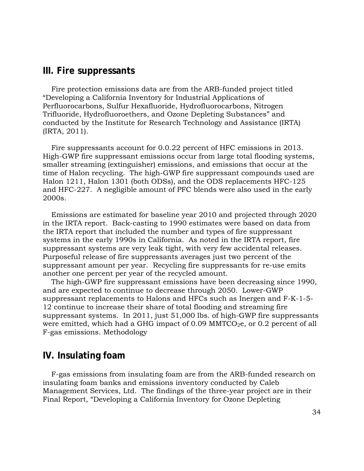### <span id="page-33-0"></span>**III. Fire suppressants**

Fire protection emissions data are from the ARB-funded project titled "Developing a California Inventory for Industrial Applications of Perfluorocarbons, Sulfur Hexafluoride, Hydrofluorocarbons, Nitrogen Trifluoride, Hydrofluoroethers, and Ozone Depleting Substances" and conducted by the Institute for Research Technology and Assistance (IRTA) (IRTA, 2011).

 Fire suppressants account for 0.0.22 percent of HFC emissions in 2013. High-GWP fire suppressant emissions occur from large total flooding systems, smaller streaming (extinguisher) emissions, and emissions that occur at the time of Halon recycling. The high-GWP fire suppressant compounds used are Halon 1211, Halon 1301 (both ODSs), and the ODS replacements HFC-125 and HFC-227. A negligible amount of PFC blends were also used in the early 2000s.

Emissions are estimated for baseline year 2010 and projected through 2020 in the IRTA report. Back-casting to 1990 estimates were based on data from the IRTA report that included the number and types of fire suppressant systems in the early 1990s in California. As noted in the IRTA report, fire suppressant systems are very leak tight, with very few accidental releases. Purposeful release of fire suppressants averages just two percent of the suppressant amount per year. Recycling fire suppressants for re-use emits another one percent per year of the recycled amount.

The high-GWP fire suppressant emissions have been decreasing since 1990, and are expected to continue to decrease through 2050. Lower-GWP suppressant replacements to Halons and HFCs such as Inergen and F-K-1-5- 12 continue to increase their share of total flooding and streaming fire suppressant systems. In 2011, just 51,000 lbs. of high-GWP fire suppressants were emitted, which had a GHG impact of  $0.09$  MMTCO<sub>2</sub>e, or  $0.2$  percent of all F-gas emissions. Methodology

### <span id="page-33-1"></span>**IV. Insulating foam**

F-gas emissions from insulating foam are from the ARB-funded research on insulating foam banks and emissions inventory conducted by Caleb Management Services, Ltd. The findings of the three-year project are in their Final Report, "Developing a California Inventory for Ozone Depleting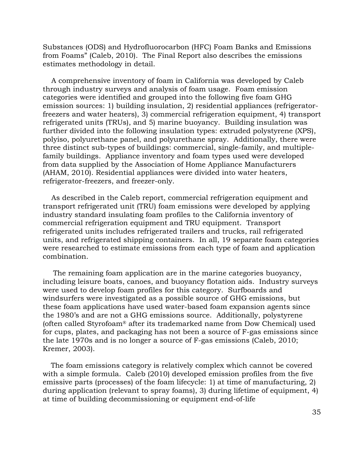Substances (ODS) and Hydrofluorocarbon (HFC) Foam Banks and Emissions from Foams" (Caleb, 2010). The Final Report also describes the emissions estimates methodology in detail.

A comprehensive inventory of foam in California was developed by Caleb through industry surveys and analysis of foam usage. Foam emission categories were identified and grouped into the following five foam GHG emission sources: 1) building insulation, 2) residential appliances (refrigeratorfreezers and water heaters), 3) commercial refrigeration equipment, 4) transport refrigerated units (TRUs), and 5) marine buoyancy. Building insulation was further divided into the following insulation types: extruded polystyrene (XPS), polyiso, polyurethane panel, and polyurethane spray. Additionally, there were three distinct sub-types of buildings: commercial, single-family, and multiplefamily buildings. Appliance inventory and foam types used were developed from data supplied by the Association of Home Appliance Manufacturers (AHAM, 2010). Residential appliances were divided into water heaters, refrigerator-freezers, and freezer-only.

As described in the Caleb report, commercial refrigeration equipment and transport refrigerated unit (TRU) foam emissions were developed by applying industry standard insulating foam profiles to the California inventory of commercial refrigeration equipment and TRU equipment. Transport refrigerated units includes refrigerated trailers and trucks, rail refrigerated units, and refrigerated shipping containers. In all, 19 separate foam categories were researched to estimate emissions from each type of foam and application combination.

 the 1980's and are not a GHG emissions source. Additionally, polystyrene The remaining foam application are in the marine categories buoyancy, including leisure boats, canoes, and buoyancy flotation aids. Industry surveys were used to develop foam profiles for this category. Surfboards and windsurfers were investigated as a possible source of GHG emissions, but these foam applications have used water-based foam expansion agents since (often called Styrofoam® after its trademarked name from Dow Chemical) used for cups, plates, and packaging has not been a source of F-gas emissions since the late 1970s and is no longer a source of F-gas emissions (Caleb, 2010; Kremer, 2003).

The foam emissions category is relatively complex which cannot be covered with a simple formula. Caleb (2010) developed emission profiles from the five emissive parts (processes) of the foam lifecycle: 1) at time of manufacturing, 2) during application (relevant to spray foams), 3) during lifetime of equipment, 4) at time of building decommissioning or equipment end-of-life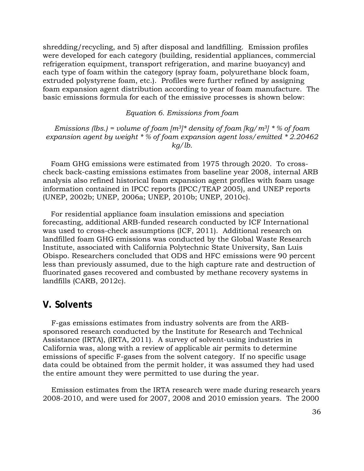shredding/recycling, and 5) after disposal and landfilling. Emission profiles were developed for each category (building, residential appliances, commercial refrigeration equipment, transport refrigeration, and marine buoyancy) and each type of foam within the category (spray foam, polyurethane block foam, extruded polystyrene foam, etc.). Profiles were further refined by assigning foam expansion agent distribution according to year of foam manufacture. The basic emissions formula for each of the emissive processes is shown below:

*Equation 6. Emissions from foam* 

*Emissions (lbs.)* = volume of foam  $[m^3]^*$  density of foam  $[kg/m^3]^*$  % of foam  *expansion agent by weight \* % of foam expansion agent loss/emitted \* 2.20462 kg/lb.* 

Foam GHG emissions were estimated from 1975 through 2020. To crosscheck back-casting emissions estimates from baseline year 2008, internal ARB analysis also refined historical foam expansion agent profiles with foam usage information contained in IPCC reports (IPCC/TEAP 2005), and UNEP reports (UNEP, 2002b; UNEP, 2006a; UNEP, 2010b; UNEP, 2010c).

For residential appliance foam insulation emissions and speciation forecasting, additional ARB-funded research conducted by ICF International was used to cross-check assumptions (ICF, 2011). Additional research on landfilled foam GHG emissions was conducted by the Global Waste Research Institute, associated with California Polytechnic State University, San Luis Obispo. Researchers concluded that ODS and HFC emissions were 90 percent less than previously assumed, due to the high capture rate and destruction of fluorinated gases recovered and combusted by methane recovery systems in landfills (CARB, 2012c).

### <span id="page-35-0"></span>**V. Solvents**

F-gas emissions estimates from industry solvents are from the ARBsponsored research conducted by the Institute for Research and Technical Assistance (IRTA), (IRTA, 2011). A survey of solvent-using industries in California was, along with a review of applicable air permits to determine emissions of specific F-gases from the solvent category. If no specific usage data could be obtained from the permit holder, it was assumed they had used the entire amount they were permitted to use during the year.

Emission estimates from the IRTA research were made during research years 2008-2010, and were used for 2007, 2008 and 2010 emission years. The 2000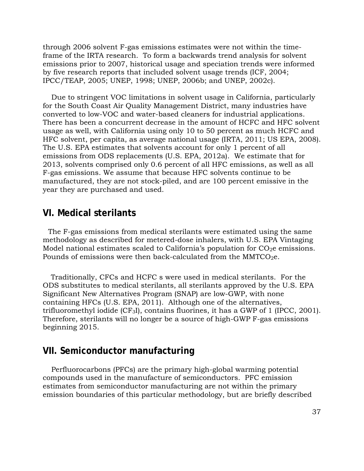through 2006 solvent F-gas emissions estimates were not within the timeframe of the IRTA research. To form a backwards trend analysis for solvent emissions prior to 2007, historical usage and speciation trends were informed by five research reports that included solvent usage trends (ICF, 2004; IPCC/TEAP, 2005; UNEP, 1998; UNEP, 2006b; and UNEP, 2002c).

Due to stringent VOC limitations in solvent usage in California, particularly for the South Coast Air Quality Management District, many industries have converted to low-VOC and water-based cleaners for industrial applications. There has been a concurrent decrease in the amount of HCFC and HFC solvent usage as well, with California using only 10 to 50 percent as much HCFC and HFC solvent, per capita, as average national usage (IRTA, 2011; US EPA, 2008). The U.S. EPA estimates that solvents account for only 1 percent of all emissions from ODS replacements (U.S. EPA, 2012a). We estimate that for 2013, solvents comprised only 0.6 percent of all HFC emissions, as well as all F-gas emissions. We assume that because HFC solvents continue to be manufactured, they are not stock-piled, and are 100 percent emissive in the year they are purchased and used.

## <span id="page-36-0"></span>**VI. Medical sterilants**

The F-gas emissions from medical sterilants were estimated using the same methodology as described for metered-dose inhalers, with U.S. EPA Vintaging Model national estimates scaled to California's population for  $CO<sub>2</sub>e$  emissions. Pounds of emissions were then back-calculated from the MMTCO<sub>2</sub>e.

Traditionally, CFCs and HCFC s were used in medical sterilants. For the ODS substitutes to medical sterilants, all sterilants approved by the U.S. EPA Significant New Alternatives Program (SNAP) are low-GWP, with none containing HFCs (U.S. EPA, 2011). Although one of the alternatives, trifluoromethyl iodide (CF3I), contains fluorines, it has a GWP of 1 (IPCC, 2001). Therefore, sterilants will no longer be a source of high-GWP F-gas emissions beginning 2015.

### <span id="page-36-1"></span>**VII. Semiconductor manufacturing**

Perfluorocarbons (PFCs) are the primary high-global warming potential compounds used in the manufacture of semiconductors. PFC emission estimates from semiconductor manufacturing are not within the primary emission boundaries of this particular methodology, but are briefly described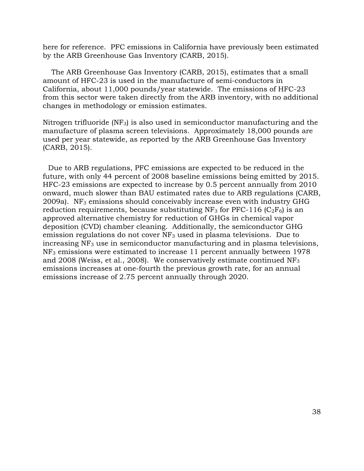here for reference. PFC emissions in California have previously been estimated by the ARB Greenhouse Gas Inventory (CARB, 2015).

The ARB Greenhouse Gas Inventory (CARB, 2015), estimates that a small amount of HFC-23 is used in the manufacture of semi-conductors in California, about 11,000 pounds/year statewide. The emissions of HFC-23 from this sector were taken directly from the ARB inventory, with no additional changes in methodology or emission estimates.

Nitrogen trifluoride  $(NF_3)$  is also used in semiconductor manufacturing and the manufacture of plasma screen televisions. Approximately 18,000 pounds are used per year statewide, as reported by the ARB Greenhouse Gas Inventory (CARB, 2015).

Due to ARB regulations, PFC emissions are expected to be reduced in the future, with only 44 percent of 2008 baseline emissions being emitted by 2015. HFC-23 emissions are expected to increase by 0.5 percent annually from 2010 onward, much slower than BAU estimated rates due to ARB regulations (CARB, 2009a). NF<sub>3</sub> emissions should conceivably increase even with industry GHG reduction requirements, because substituting NF<sub>3</sub> for PFC-116 ( $C_2F_6$ ) is an approved alternative chemistry for reduction of GHGs in chemical vapor deposition (CVD) chamber cleaning. Additionally, the semiconductor GHG emission regulations do not cover NF3 used in plasma televisions. Due to increasing NF3 use in semiconductor manufacturing and in plasma televisions, NF3 emissions were estimated to increase 11 percent annually between 1978 and 2008 (Weiss, et al., 2008). We conservatively estimate continued NF3 emissions increases at one-fourth the previous growth rate, for an annual emissions increase of 2.75 percent annually through 2020.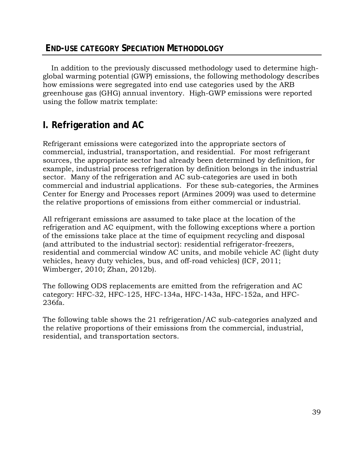# <span id="page-38-0"></span>**END-USE CATEGORY SPECIATION METHODOLOGY**

In addition to the previously discussed methodology used to determine highglobal warming potential (GWP) emissions, the following methodology describes how emissions were segregated into end use categories used by the ARB greenhouse gas (GHG) annual inventory. High-GWP emissions were reported using the follow matrix template:

# <span id="page-38-1"></span>**I. Refrigeration and AC**

Refrigerant emissions were categorized into the appropriate sectors of commercial, industrial, transportation, and residential. For most refrigerant sources, the appropriate sector had already been determined by definition, for example, industrial process refrigeration by definition belongs in the industrial sector. Many of the refrigeration and AC sub-categories are used in both commercial and industrial applications. For these sub-categories, the Armines Center for Energy and Processes report (Armines 2009) was used to determine the relative proportions of emissions from either commercial or industrial.

All refrigerant emissions are assumed to take place at the location of the refrigeration and AC equipment, with the following exceptions where a portion of the emissions take place at the time of equipment recycling and disposal (and attributed to the industrial sector): residential refrigerator-freezers, residential and commercial window AC units, and mobile vehicle AC (light duty vehicles, heavy duty vehicles, bus, and off-road vehicles) (ICF, 2011; Wimberger, 2010; Zhan, 2012b).

The following ODS replacements are emitted from the refrigeration and AC category: HFC-32, HFC-125, HFC-134a, HFC-143a, HFC-152a, and HFC-236fa.

The following table shows the 21 refrigeration/AC sub-categories analyzed and the relative proportions of their emissions from the commercial, industrial, residential, and transportation sectors.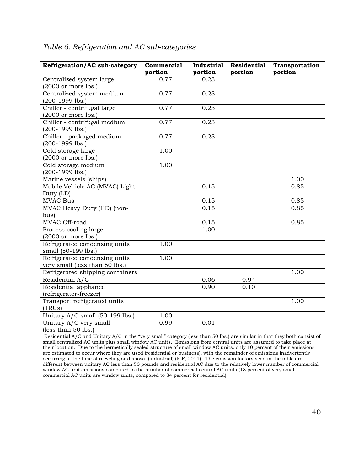| Refrigeration/AC sub-category         | Commercial | <b>Industrial</b> | <b>Residential</b> | Transportation |
|---------------------------------------|------------|-------------------|--------------------|----------------|
|                                       | portion    | portion           | portion            | portion        |
| Centralized system large              | 0.77       | 0.23              |                    |                |
| $(2000 \text{ or more lbs.})$         |            |                   |                    |                |
| Centralized system medium             | 0.77       | 0.23              |                    |                |
| $(200-1999$ lbs.)                     |            |                   |                    |                |
| Chiller - centrifugal large           | 0.77       | 0.23              |                    |                |
| $(2000 \text{ or more lbs.})$         |            |                   |                    |                |
| Chiller - centrifugal medium          | 0.77       | 0.23              |                    |                |
| $(200-1999$ lbs.)                     |            |                   |                    |                |
| Chiller - packaged medium             | 0.77       | 0.23              |                    |                |
| (200-1999 lbs.)                       |            |                   |                    |                |
| Cold storage large                    | 1.00       |                   |                    |                |
| $(2000 \text{ or more lbs.})$         |            |                   |                    |                |
| Cold storage medium                   | 1.00       |                   |                    |                |
| (200-1999 lbs.)                       |            |                   |                    |                |
| Marine vessels (ships)                |            |                   |                    | 1.00           |
| Mobile Vehicle AC (MVAC) Light        |            | 0.15              |                    | 0.85           |
| Duty (LD)                             |            |                   |                    |                |
| <b>MVAC Bus</b>                       |            | 0.15              |                    | 0.85           |
| MVAC Heavy Duty (HD) (non-            |            | 0.15              |                    | 0.85           |
| bus)                                  |            |                   |                    |                |
| MVAC Off-road                         |            | 0.15              |                    | 0.85           |
| Process cooling large                 |            | 1.00              |                    |                |
| $(2000 \text{ or more} \text{ lbs.})$ |            |                   |                    |                |
| Refrigerated condensing units         | 1.00       |                   |                    |                |
| small (50-199 lbs.)                   |            |                   |                    |                |
| Refrigerated condensing units         | 1.00       |                   |                    |                |
| very small (less than 50 lbs.)        |            |                   |                    |                |
| Refrigerated shipping containers      |            |                   |                    | 1.00           |
| Residential A/C                       |            | 0.06              | 0.94               |                |
| Residential appliance                 |            | 0.90              | 0.10               |                |
| (refrigerator-freezer)                |            |                   |                    |                |
| Transport refrigerated units          |            |                   |                    | 1.00           |
| (TRUs)                                |            |                   |                    |                |
| Unitary A/C small (50-199 lbs.)       | 1.00       |                   |                    |                |
| Unitary A/C very small                | 0.99       | 0.01              |                    |                |
| (less than 50 lbs.)                   |            |                   |                    |                |

### <span id="page-39-0"></span>*Table 6. Refrigeration and AC sub-categories*

 Residential A/C and Unitary A/C in the "very small" category (less than 50 lbs.) are similar in that they both consist of small centralized AC units plus small window AC units. Emissions from central units are assumed to take place at their location. Due to the hermetically sealed structure of small window AC units, only 10 percent of their emissions are estimated to occur where they are used (residential or business), with the remainder of emissions inadvertently window AC unit emissions compared to the number of commercial central AC units (18 percent of very small commercial AC units are window units, compared to 34 percent for residential). occurring at the time of recycling or disposal (industrial) (ICF, 2011). The emission factors seen in the table are different between unitary AC less than 50 pounds and residential AC due to the relatively lower number of commercial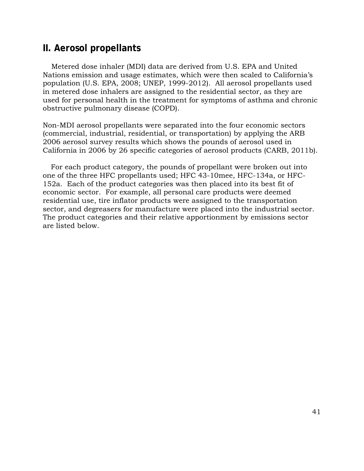# <span id="page-40-0"></span>**II. Aerosol propellants**

Metered dose inhaler (MDI) data are derived from U.S. EPA and United Nations emission and usage estimates, which were then scaled to California's population (U.S. EPA, 2008; UNEP, 1999-2012). All aerosol propellants used in metered dose inhalers are assigned to the residential sector, as they are used for personal health in the treatment for symptoms of asthma and chronic obstructive pulmonary disease (COPD).

Non-MDI aerosol propellants were separated into the four economic sectors (commercial, industrial, residential, or transportation) by applying the ARB 2006 aerosol survey results which shows the pounds of aerosol used in California in 2006 by 26 specific categories of aerosol products (CARB, 2011b).

For each product category, the pounds of propellant were broken out into one of the three HFC propellants used; HFC 43-10mee, HFC-134a, or HFC-152a. Each of the product categories was then placed into its best fit of economic sector. For example, all personal care products were deemed residential use, tire inflator products were assigned to the transportation sector, and degreasers for manufacture were placed into the industrial sector. The product categories and their relative apportionment by emissions sector are listed below.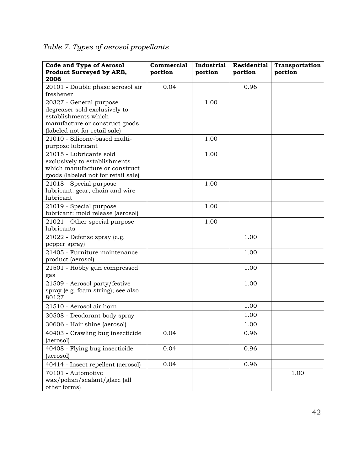<span id="page-41-0"></span>

|  |  | Table 7. Types of aerosol propellants |
|--|--|---------------------------------------|
|  |  |                                       |

| <b>Code and Type of Aerosol</b><br>Product Surveyed by ARB,                                                                                         | Commercial<br>portion | Industrial<br>portion | <b>Residential</b><br>portion | Transportation<br>portion |
|-----------------------------------------------------------------------------------------------------------------------------------------------------|-----------------------|-----------------------|-------------------------------|---------------------------|
| 2006<br>20101 - Double phase aerosol air<br>freshener                                                                                               | 0.04                  |                       | 0.96                          |                           |
| 20327 - General purpose<br>degreaser sold exclusively to<br>establishments which<br>manufacture or construct goods<br>(labeled not for retail sale) |                       | 1.00                  |                               |                           |
| 21010 - Silicone-based multi-<br>purpose lubricant                                                                                                  |                       | 1.00                  |                               |                           |
| 21015 - Lubricants sold<br>exclusively to establishments<br>which manufacture or construct<br>goods (labeled not for retail sale)                   |                       | 1.00                  |                               |                           |
| 21018 - Special purpose<br>lubricant: gear, chain and wire<br>lubricant                                                                             |                       | 1.00                  |                               |                           |
| 21019 - Special purpose<br>lubricant: mold release (aerosol)                                                                                        |                       | 1.00                  |                               |                           |
| 21021 - Other special purpose<br>lubricants                                                                                                         |                       | 1.00                  |                               |                           |
| 21022 - Defense spray (e.g.<br>pepper spray)                                                                                                        |                       |                       | 1.00                          |                           |
| 21405 - Furniture maintenance<br>product (aerosol)                                                                                                  |                       |                       | 1.00                          |                           |
| 21501 - Hobby gun compressed<br>gas                                                                                                                 |                       |                       | 1.00                          |                           |
| 21509 - Aerosol party/festive<br>spray (e.g. foam string); see also<br>80127                                                                        |                       |                       | 1.00                          |                           |
| 21510 - Aerosol air horn                                                                                                                            |                       |                       | 1.00                          |                           |
| 30508 - Deodorant body spray                                                                                                                        |                       |                       | 1.00                          |                           |
| 30606 - Hair shine (aerosol)                                                                                                                        |                       |                       | 1.00                          |                           |
| 40403 - Crawling bug insecticide<br>(aerosol)                                                                                                       | 0.04                  |                       | 0.96                          |                           |
| 40408 - Flying bug insecticide<br>(aerosol)                                                                                                         | 0.04                  |                       | 0.96                          |                           |
| 40414 - Insect repellent (aerosol)                                                                                                                  | 0.04                  |                       | 0.96                          |                           |
| 70101 - Automotive<br>wax/polish/sealant/glaze (all<br>other forms)                                                                                 |                       |                       |                               | 1.00                      |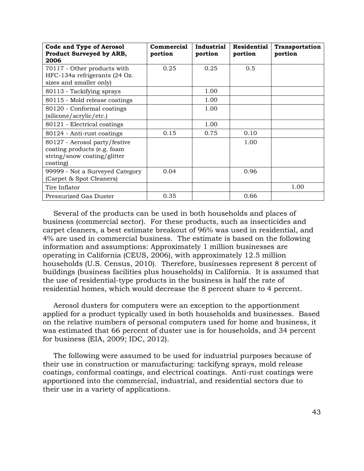| <b>Code and Type of Aerosol</b><br>Product Surveyed by ARB,<br>2006                                     | Commercial<br>portion | Industrial<br>portion | <b>Residential</b><br>portion | <b>Transportation</b><br>portion |
|---------------------------------------------------------------------------------------------------------|-----------------------|-----------------------|-------------------------------|----------------------------------|
| 70117 - Other products with<br>HFC-134a refrigerants (24 Oz.<br>sizes and smaller only)                 | 0.25                  | 0.25                  | 0.5                           |                                  |
| 80113 - Tackifying sprays                                                                               |                       | 1.00                  |                               |                                  |
| 80115 - Mold release coatings                                                                           |                       | 1.00                  |                               |                                  |
| 80120 - Conformal coatings<br>(silicone/acrylic/etc.)                                                   |                       | 1.00                  |                               |                                  |
| 80121 - Electrical coatings                                                                             |                       | 1.00                  |                               |                                  |
| 80124 - Anti-rust coatings                                                                              | 0.15                  | 0.75                  | 0.10                          |                                  |
| 80127 - Aerosol party/festive<br>coating products (e.g. foam<br>string/snow coating/glitter<br>coating) |                       |                       | 1.00                          |                                  |
| 99999 - Not a Surveyed Category<br>(Carpet & Spot Cleaners)                                             | 0.04                  |                       | 0.96                          |                                  |
| Tire Inflator                                                                                           |                       |                       |                               | 1.00                             |
| Pressurized Gas Duster                                                                                  | 0.35                  |                       | 0.66                          |                                  |

Several of the products can be used in both households and places of business (commercial sector). For these products, such as insecticides and carpet cleaners, a best estimate breakout of 96% was used in residential, and 4% are used in commercial business. The estimate is based on the following information and assumptions: Approximately 1 million businesses are operating in California (CEUS, 2006), with approximately 12.5 million households (U.S. Census, 2010). Therefore, businesses represent 8 percent of buildings (business facilities plus households) in California. It is assumed that the use of residential-type products in the business is half the rate of residential homes, which would decrease the 8 percent share to 4 percent.

Aerosol dusters for computers were an exception to the apportionment applied for a product typically used in both households and businesses. Based on the relative numbers of personal computers used for home and business, it was estimated that 66 percent of duster use is for households, and 34 percent for business (EIA, 2009; IDC, 2012).

The following were assumed to be used for industrial purposes because of their use in construction or manufacturing: tackifyng sprays, mold release coatings, conformal coatings, and electrical coatings. Anti-rust coatings were apportioned into the commercial, industrial, and residential sectors due to their use in a variety of applications.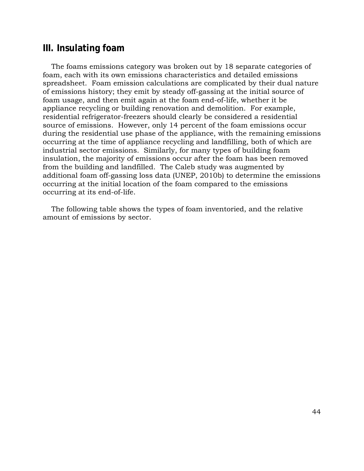### <span id="page-43-0"></span>**III. Insulating foam**

 The foams emissions category was broken out by 18 separate categories of foam, each with its own emissions characteristics and detailed emissions spreadsheet. Foam emission calculations are complicated by their dual nature of emissions history; they emit by steady off-gassing at the initial source of foam usage, and then emit again at the foam end-of-life, whether it be appliance recycling or building renovation and demolition. For example, residential refrigerator-freezers should clearly be considered a residential source of emissions. However, only 14 percent of the foam emissions occur during the residential use phase of the appliance, with the remaining emissions occurring at the time of appliance recycling and landfilling, both of which are industrial sector emissions. Similarly, for many types of building foam insulation, the majority of emissions occur after the foam has been removed from the building and landfilled. The Caleb study was augmented by additional foam off-gassing loss data (UNEP, 2010b) to determine the emissions occurring at the initial location of the foam compared to the emissions occurring at its end-of-life.

The following table shows the types of foam inventoried, and the relative amount of emissions by sector.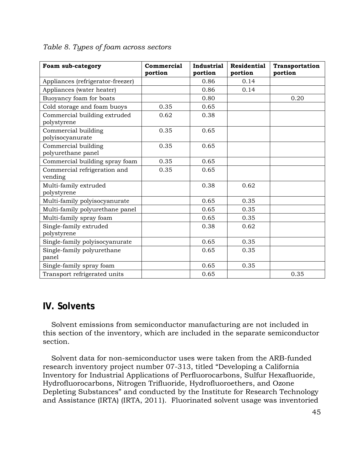<span id="page-44-1"></span>

| Table 8. Types of foam across sectors |  |  |  |  |
|---------------------------------------|--|--|--|--|
|---------------------------------------|--|--|--|--|

| Foam sub-category                           | Commercial<br>portion | <b>Industrial</b><br>portion | <b>Residential</b><br>portion | Transportation<br>portion |
|---------------------------------------------|-----------------------|------------------------------|-------------------------------|---------------------------|
| Appliances (refrigerator-freezer)           |                       | 0.86                         | 0.14                          |                           |
| Appliances (water heater)                   |                       | 0.86                         | 0.14                          |                           |
| Buoyancy foam for boats                     |                       | 0.80                         |                               | 0.20                      |
| Cold storage and foam buoys                 | 0.35                  | 0.65                         |                               |                           |
| Commercial building extruded<br>polystyrene | 0.62                  | 0.38                         |                               |                           |
| Commercial building<br>polyisocyanurate     | 0.35                  | 0.65                         |                               |                           |
| Commercial building<br>polyurethane panel   | 0.35                  | 0.65                         |                               |                           |
| Commercial building spray foam              | 0.35                  | 0.65                         |                               |                           |
| Commercial refrigeration and<br>vending     | 0.35                  | 0.65                         |                               |                           |
| Multi-family extruded<br>polystyrene        |                       | 0.38                         | 0.62                          |                           |
| Multi-family polyisocyanurate               |                       | 0.65                         | 0.35                          |                           |
| Multi-family polyurethane panel             |                       | 0.65                         | 0.35                          |                           |
| Multi-family spray foam                     |                       | 0.65                         | 0.35                          |                           |
| Single-family extruded<br>polystyrene       |                       | 0.38                         | 0.62                          |                           |
| Single-family polyisocyanurate              |                       | 0.65                         | 0.35                          |                           |
| Single-family polyurethane<br>panel         |                       | 0.65                         | 0.35                          |                           |
| Single-family spray foam                    |                       | 0.65                         | 0.35                          |                           |
| Transport refrigerated units                |                       | 0.65                         |                               | 0.35                      |

# <span id="page-44-0"></span>**IV. Solvents**

Solvent emissions from semiconductor manufacturing are not included in this section of the inventory, which are included in the separate semiconductor section.

Solvent data for non-semiconductor uses were taken from the ARB-funded research inventory project number 07-313, titled "Developing a California Inventory for Industrial Applications of Perfluorocarbons, Sulfur Hexafluoride, Hydrofluorocarbons, Nitrogen Trifluoride, Hydrofluoroethers, and Ozone Depleting Substances" and conducted by the Institute for Research Technology and Assistance (IRTA) (IRTA, 2011). Fluorinated solvent usage was inventoried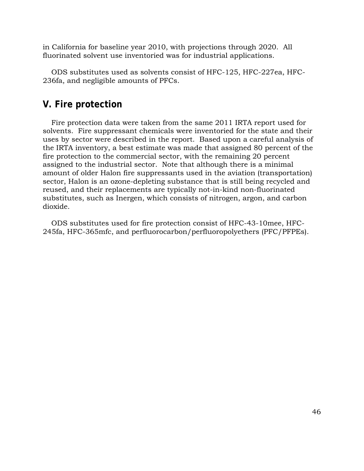in California for baseline year 2010, with projections through 2020. All fluorinated solvent use inventoried was for industrial applications.

<span id="page-45-0"></span>ODS substitutes used as solvents consist of HFC-125, HFC-227ea, HFC-236fa, and negligible amounts of PFCs.

## **V. Fire protection**

Fire protection data were taken from the same 2011 IRTA report used for solvents. Fire suppressant chemicals were inventoried for the state and their uses by sector were described in the report. Based upon a careful analysis of the IRTA inventory, a best estimate was made that assigned 80 percent of the fire protection to the commercial sector, with the remaining 20 percent assigned to the industrial sector. Note that although there is a minimal amount of older Halon fire suppressants used in the aviation (transportation) sector, Halon is an ozone-depleting substance that is still being recycled and reused, and their replacements are typically not-in-kind non-fluorinated substitutes, such as Inergen, which consists of nitrogen, argon, and carbon dioxide.

ODS substitutes used for fire protection consist of HFC-43-10mee, HFC-245fa, HFC-365mfc, and perfluorocarbon/perfluoropolyethers (PFC/PFPEs).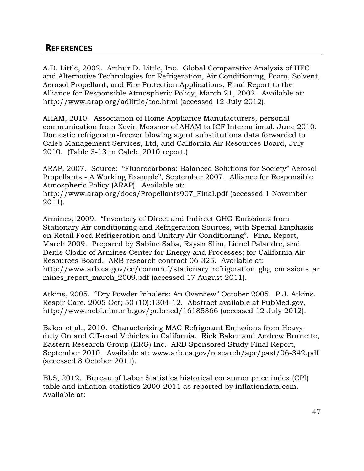# <span id="page-46-0"></span>**REFERENCES**

A.D. Little, 2002. Arthur D. Little, Inc. Global Comparative Analysis of HFC and Alternative Technologies for Refrigeration, Air Conditioning, Foam, Solvent, Aerosol Propellant, and Fire Protection Applications, Final Report to the Alliance for Responsible Atmospheric Policy, March 21, 2002. Available at: <http://www.arap.org/adlittle/toc.html> (accessed 12 July 2012).

AHAM, 2010. Association of Home Appliance Manufacturers, personal communication from Kevin Messner of AHAM to ICF International, June 2010. Domestic refrigerator-freezer blowing agent substitutions data forwarded to Caleb Management Services, Ltd, and California Air Resources Board, July 2010. (Table 3-13 in Caleb, 2010 report.)

ARAP, 2007. Source: "Fluorocarbons: Balanced Solutions for Society" Aerosol Propellants - A Working Example", September 2007. Alliance for Responsible Atmospheric Policy (ARAP). Available at:

[http://www.arap.org/docs/Propellants907\\_Final.pdf](http://www.arap.org/docs/Propellants907_Final.pdf) (accessed 1 November 2011).

Armines, 2009. "Inventory of Direct and Indirect GHG Emissions from Stationary Air conditioning and Refrigeration Sources, with Special Emphasis on Retail Food Refrigeration and Unitary Air Conditioning". Final Report, March 2009. Prepared by Sabine Saba, Rayan Slim, Lionel Palandre, and Denis Clodic of Armines Center for Energy and Processes; for California Air Resources Board. ARB research contract 06-325. Available at: [http://www.arb.ca.gov/cc/commref/stationary\\_refrigeration\\_ghg\\_emissions\\_ar](http://www.arb.ca.gov/cc/commref/stationary_refrigeration_ghg_emissions_ar) mines\_report\_march\_2009.pdf (accessed 17 August 2011).

Atkins, 2005. "Dry Powder Inhalers: An Overview" October 2005. P.J. Atkins. [Respir Care.](http://www.ncbi.nlm.nih.gov/pubmed/16185366) 2005 Oct; 50 (10):1304-12. Abstract available at [PubMed.gov,](https://PubMed.gov) <http://www.ncbi.nlm.nih.gov/pubmed/16185366>(accessed 12 July 2012).

Baker et al., 2010. Characterizing MAC Refrigerant Emissions from Heavyduty On and Off-road Vehicles in California. Rick Baker and Andrew Burnette, Eastern Research Group (ERG) Inc. ARB Sponsored Study Final Report, September 2010. Available at: <www.arb.ca.gov/research/apr/past/06-342.pdf> (accessed 8 October 2011).

BLS, 2012. Bureau of Labor Statistics historical consumer price index (CPI) table and inflation statistics 2000-2011 as reported by [inflationdata.com.](https://inflationdata.com) Available at: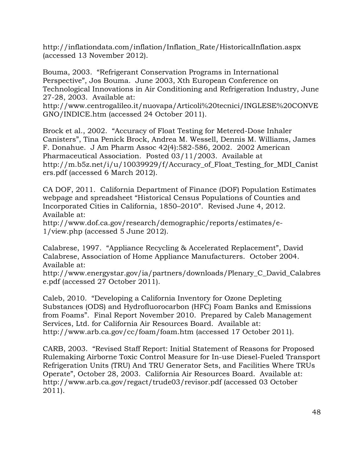[http://inflationdata.com/inflation/Inflation\\_Rate/HistoricalInflation.aspx](http://inflationdata.com/inflation/Inflation_Rate/HistoricalInflation.aspx) (accessed 13 November 2012).

Bouma, 2003. "Refrigerant Conservation Programs in International Perspective", Jos Bouma. June 2003, Xth European Conference on Technological Innovations in Air Conditioning and Refrigeration Industry, June 27-28, 2003. Available at:

<http://www.centrogalileo.it/nuovapa/Articoli%20tecnici/INGLESE%20CONVE> GNO/INDICE.htm (accessed 24 October 2011).

Brock et al., 2002. "Accuracy of Float Testing for Metered-Dose Inhaler Canisters", Tina Penick Brock, Andrea M. Wessell, Dennis M. Williams, James F. Donahue. J Am Pharm Assoc 42(4):582-586, 2002. 2002 American Pharmaceutical Association. Posted 03/11/2003. Available at [http://m.b5z.net/i/u/10039929/f/Accuracy\\_of\\_Float\\_Testing\\_for\\_MDI\\_Canist](http://m.b5z.net/i/u/10039929/f/Accuracy_of_Float_Testing_for_MDI_Canist) ers.pdf (accessed 6 March 2012).

CA DOF, 2011. California Department of Finance (DOF) Population Estimates webpage and spreadsheet "Historical Census Populations of Counties and Incorporated Cities in California, 1850–2010". Revised June 4, 2012. Available at:

[http://www.dof.ca.gov/research/demographic/reports/estimates/e-](http://www.dof.ca.gov/research/demographic/reports/estimates/e)1/view.php (accessed 5 June 2012).

Calabrese, 1997. "Appliance Recycling & Accelerated Replacement", David Calabrese, Association of Home Appliance Manufacturers. October 2004. Available at:

[http://www.energystar.gov/ia/partners/downloads/Plenary\\_C\\_David\\_Calabres](http://www.energystar.gov/ia/partners/downloads/Plenary_C_David_Calabres) e.pdf (accessed 27 October 2011).

Caleb, 2010. "Developing a California Inventory for Ozone Depleting Substances (ODS) and Hydrofluorocarbon (HFC) Foam Banks and Emissions from Foams". Final Report November 2010. Prepared by Caleb Management Services, Ltd. for California Air Resources Board. Available at: <http://www.arb.ca.gov/cc/foam/foam.htm>(accessed 17 October 2011).

CARB, 2003. "Revised Staff Report: Initial Statement of Reasons for Proposed Rulemaking Airborne Toxic Control Measure for In-use Diesel-Fueled Transport Refrigeration Units (TRU) And TRU Generator Sets, and Facilities Where TRUs Operate", October 28, 2003. California Air Resources Board. Available at: <http://www.arb.ca.gov/regact/trude03/revisor.pdf>(accessed 03 October 2011).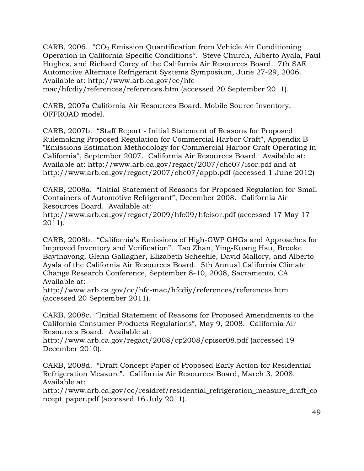CARB, 2006. " $CO<sub>2</sub>$  Emission Quantification from Vehicle Air Conditioning Operation in California-Specific Conditions". Steve Church, Alberto Ayala, Paul Hughes, and Richard Corey of the California Air Resources Board. 7th SAE Automotive Alternate Refrigerant Systems Symposium, June 27-29, 2006. Available at: [http://www.arb.ca.gov/cc/hfc-](http://www.arb.ca.gov/cc/hfc-mac/hfcdiy/references/references.htm)

[mac/hfcdiy/references/references.htm](http://www.arb.ca.gov/cc/hfc-mac/hfcdiy/references/references.htm) (accessed 20 September 2011).

CARB, 2007a California Air Resources Board. Mobile Source Inventory, OFFROAD model.

CARB, 2007b. "Staff Report - Initial Statement of Reasons for Proposed Rulemaking Proposed Regulation for Commercial Harbor Craft", Appendix B "Emissions Estimation Methodology for Commercial Harbor Craft Operating in California", September 2007. California Air Resources Board. Available at: Available at: <http://www.arb.ca.gov/regact/2007/chc07/isor.pdf> and at <http://www.arb.ca.gov/regact/2007/chc07/appb.pdf> (accessed 1 June 2012)

CARB, 2008a. "Initial Statement of Reasons for Proposed Regulation for Small Containers of Automotive Refrigerant", December 2008. California Air Resources Board. Available at:

<http://www.arb.ca.gov/regact/2009/hfc09/hfcisor.pdf> (accessed 17 May 17 2011).

CARB, 2008b. "California's Emissions of High-GWP GHGs and Approaches for Improved Inventory and Verification". Tao Zhan, Ying-Kuang Hsu, Brooke Baythavong, Glenn Gallagher, Elizabeth Scheehle, David Mallory, and Alberto Ayala of the California Air Resources Board. 5th Annual California Climate Change Research Conference, September 8-10, 2008, Sacramento, CA. Available at:

<http://www.arb.ca.gov/cc/hfc-mac/hfcdiy/references/references.htm> (accessed 20 September 2011).

CARB, 2008c. "Initial Statement of Reasons for Proposed Amendments to the California Consumer Products Regulations", May 9, 2008. California Air Resources Board. Available at:

<http://www.arb.ca.gov/regact/2008/cp2008/cpisor08.pdf> (accessed 19 December 2010).

CARB, 2008d. "Draft Concept Paper of Proposed Early Action for Residential Refrigeration Measure". [California](http://www.arb.ca.gov/cc/hfc-mac/rsc-ghg/references/shipping_container_total_process_01_13_2010.pdf) Air Resources Board, March 3, 2008. Available at:

[http://www.arb.ca.gov/cc/residref/residential\\_refrigeration\\_measure\\_draft\\_co](http://www.arb.ca.gov/cc/residref/residential_refrigeration_measure_draft_co) ncept\_paper.pdf (accessed 16 July 2011).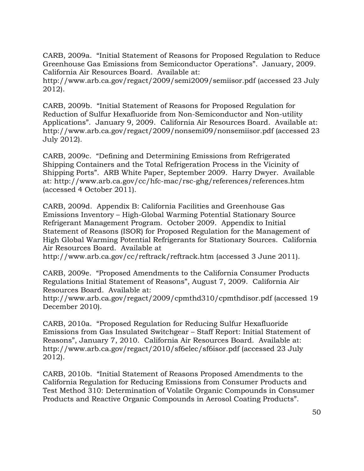CARB, 2009a. "Initial Statement of Reasons for Proposed Regulation to Reduce Greenhouse Gas Emissions from Semiconductor Operations". January, 2009. California Air Resources Board. Available at:

<http://www.arb.ca.gov/regact/2009/semi2009/semiisor.pdf>(accessed 23 July 2012).

CARB, 2009b. "Initial Statement of Reasons for Proposed Regulation for Reduction of Sulfur Hexafluoride from Non-Semiconductor and Non-utility Applications". January 9, 2009. California Air Resources Board. Available at: <http://www.arb.ca.gov/regact/2009/nonsemi09/nonsemiisor.pdf> (accessed 23 July 2012).

CARB, 2009c. "Defining and Determining Emissions from Refrigerated Shipping Containers and the Total Refrigeration Process in the Vicinity of Shipping Ports". [ARB White Paper,](http://www.arb.ca.gov/cc/hfc-mac/rsc-ghg/references/shipping_container_total_process_01_13_2010.pdf) September 2009. Harry Dwyer. Available at:<http://www.arb.ca.gov/cc/hfc-mac/rsc-ghg/references/references.htm> (accessed 4 October 2011).

 Emissions Inventory – High-Global Warming Potential Stationary Source CARB, 2009d. Appendix B: California Facilities and Greenhouse Gas Refrigerant Management Program. October 2009. Appendix to Initial Statement of Reasons (ISOR) for Proposed Regulation for the Management of High Global Warming Potential Refrigerants for Stationary Sources. California Air Resources Board. Available at

<http://www.arb.ca.gov/cc/reftrack/reftrack.htm> (accessed 3 June 2011).

CARB, 2009e. "Proposed Amendments to the California Consumer Products Regulations Initial Statement of Reasons", August 7, 2009. California Air Resources Board. Available at:

<http://www.arb.ca.gov/regact/2009/cpmthd310/cpmthdisor.pdf> (accessed 19 December 2010).

CARB, 2010a. "Proposed Regulation for Reducing Sulfur Hexafluoride Emissions from Gas Insulated Switchgear – Staff Report: Initial Statement of Reasons", January 7, 2010. California Air Resources Board. Available at: <http://www.arb.ca.gov/regact/2010/sf6elec/sf6isor.pdf>(accessed 23 July 2012).

CARB, 2010b. "Initial Statement of Reasons Proposed Amendments to the California Regulation for Reducing Emissions from Consumer Products and Test Method 310: Determination of Volatile Organic Compounds in Consumer Products and Reactive Organic Compounds in Aerosol Coating Products".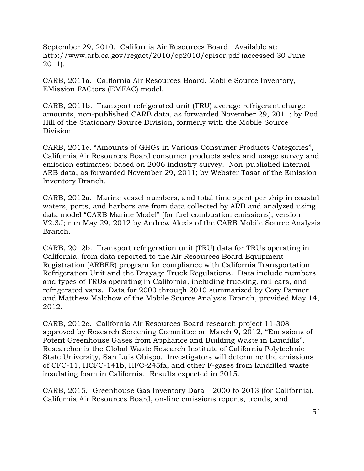September 29, 2010. California Air Resources Board. Available at: <http://www.arb.ca.gov/regact/2010/cp2010/cpisor.pdf> (accessed 30 June 2011).

CARB, 2011a. California Air Resources Board. Mobile Source Inventory, EMission FACtors (EMFAC) model.

CARB, 2011b. Transport refrigerated unit (TRU) average refrigerant charge amounts, non-published CARB data, as forwarded November 29, 2011; by Rod Hill of the Stationary Source Division, formerly with the Mobile Source Division.

CARB, 2011c. "Amounts of GHGs in Various Consumer Products Categories", California Air Resources Board consumer products sales and usage survey and emission estimates; based on 2006 industry survey. Non-published internal ARB data, as forwarded November 29, 2011; by Webster Tasat of the Emission Inventory Branch.

CARB, 2012a. Marine vessel numbers, and total time spent per ship in coastal waters, ports, and harbors are from data collected by ARB and analyzed using data model "CARB Marine Model" (for fuel combustion emissions), version V2.3J; run May 29, 2012 by Andrew Alexis of the CARB Mobile Source Analysis Branch.

CARB, 2012b. Transport refrigeration unit (TRU) data for TRUs operating in California, from data reported to the Air Resources Board Equipment Registration (ARBER) program for compliance with California Transportation Refrigeration Unit and the Drayage Truck Regulations. Data include numbers and types of TRUs operating in California, including trucking, rail cars, and refrigerated vans. Data for 2000 through 2010 summarized by Cory Parmer and Matthew Malchow of the Mobile Source Analysis Branch, provided May 14, 2012.

CARB, 2012c. California Air Resources Board research project 11-308 approved by Research Screening Committee on March 9, 2012, "Emissions of Potent Greenhouse Gases from Appliance and Building Waste in Landfills". Researcher is the Global Waste Research Institute of California Polytechnic State University, San Luis Obispo. Investigators will determine the emissions of CFC-11, HCFC-141b, HFC-245fa, and other F-gases from landfilled waste insulating foam in California. Results expected in 2015.

CARB, 2015. Greenhouse Gas Inventory Data – 2000 to 2013 (for California). California Air Resources Board, on-line emissions reports, trends, and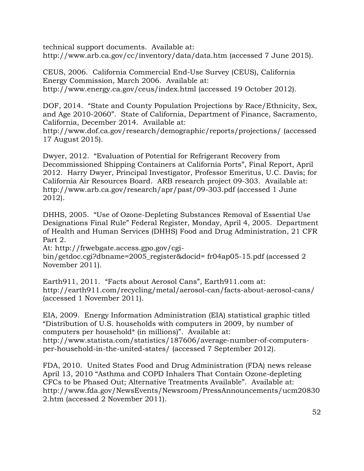technical support documents. Available at: <http://www.arb.ca.gov/cc/inventory/data/data.htm> (accessed 7 June 2015).

CEUS, 2006. California Commercial End-Use Survey (CEUS), California Energy Commission, March 2006. Available at: <http://www.energy.ca.gov/ceus/index.html> (accessed 19 October 2012).

DOF, 2014. "State and County Population Projections by Race/Ethnicity, Sex, and Age 2010-2060". State of California, Department of Finance, Sacramento, California, December 2014. Available at:

<http://www.dof.ca.gov/research/demographic/reports/projections>/ (accessed 17 August 2015).

Dwyer, 2012. "Evaluation of Potential for Refrigerant Recovery from Decommissioned Shipping Containers at California Ports", Final Report, April 2012. Harry Dwyer, Principal Investigator, Professor Emeritus, U.C. Davis; for California Air Resources Board. ARB research project 09-303. Available at: <http://www.arb.ca.gov/research/apr/past/09-303.pdf> (accessed 1 June 2012).

DHHS, 2005. "Use of Ozone-Depleting Substances Removal of Essential Use Designations Final Rule" Federal Register, Monday, April 4, 2005. Department of Health and Human Services (DHHS) Food and Drug Administration, 21 CFR Part 2.

At:<http://frwebgate.access.gpo.gov/cgi>bin/getdoc.cgi?dbname=2005\_register&docid= fr04ap05-15.pdf (accessed 2 November 2011).

Earth911, 2011. "Facts about Aerosol Cans", [Earth911.com](https://Earth911.com) at: <http://earth911.com/recycling/metal/aerosol-can/facts-about-aerosol-cans>/ (accessed 1 November 2011).

EIA, 2009. Energy Information Administration (EIA) statistical graphic titled "Distribution of U.S. households with computers in 2009, by number of computers per household\* (in millions)". Available at: <http://www.statista.com/statistics/187606/average-number-of-computers>per-household-in-the-united-states/ (accessed 7 September 2012).

FDA, 2010. United States Food and Drug Administration (FDA) news release April 13, 2010 "Asthma and COPD Inhalers That Contain Ozone-depleting CFCs to be Phased Out; Alternative Treatments Available". Available at: <http://www.fda.gov/NewsEvents/Newsroom/PressAnnouncements/ucm20830> 2.htm (accessed 2 November 2011).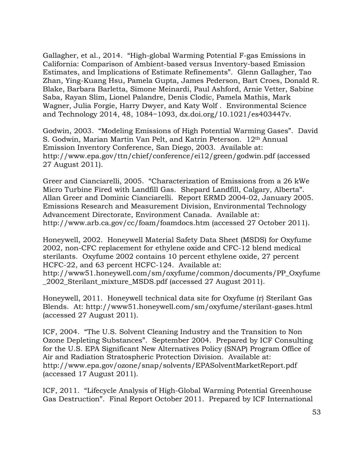Gallagher, et al., 2014. "High-global Warming Potential F-gas Emissions in California: Comparison of Ambient-based versus Inventory-based Emission Estimates, and Implications of Estimate Refinements". Glenn Gallagher, Tao Zhan, Ying-Kuang Hsu, Pamela Gupta, James Pederson, Bart Croes, Donald R. Blake, Barbara Barletta, Simone Meinardi, Paul Ashford, Arnie Vetter, Sabine Saba, Rayan Slim, Lionel Palandre, Denis Clodic, Pamela Mathis, Mark Wagner, Julia Forgie, Harry Dwyer, and Katy Wolf . Environmental Science and Technology 2014, 48, 1084−1093, [dx.doi.org/10.1021/es403447](https://dx.doi.org/10.1021/es403447v)v.

Godwin, 2003. "Modeling Emissions of High Potential Warming Gases". David S. Godwin, Marian Martin Van Pelt, and Katrin Peterson. 12th Annual Emission Inventory Conference, San Diego, 2003. Available at: <http://www.epa.gov/ttn/chief/conference/ei12/green/godwin.pdf> (accessed 27 August 2011).

Greer and Cianciarelli, 2005. "Characterization of Emissions from a 26 kWe Micro Turbine Fired with Landfill Gas. Shepard Landfill, Calgary, Alberta". Allan Greer and Dominic Cianciarelli. Report ERMD 2004-02, January 2005. Emissions Research and Measurement Division, Environmental Technology Advancement Directorate, Environment Canada. Available at: <http://www.arb.ca.gov/cc/foam/foamdocs.htm>(accessed 27 October 2011).

Honeywell, 2002. Honeywell Material Safety Data Sheet (MSDS) for Oxyfume 2002, non-CFC replacement for ethylene oxide and CFC-12 blend medical sterilants. Oxyfume 2002 contains 10 percent ethylene oxide, 27 percent HCFC-22, and 63 percent HCFC-124. Available at: [http://www51.honeywell.com/sm/oxyfume/common/documents/PP\\_Oxyfume](http://www51.honeywell.com/sm/oxyfume/common/documents/PP_Oxyfume)  \_2002\_Sterilant\_mixture\_MSDS.pdf (accessed 27 August 2011).

Honeywell, 2011. Honeywell technical data site for Oxyfume (r) Sterilant Gas Blends. At:<http://www51.honeywell.com/sm/oxyfume/sterilant-gases.html> (accessed 27 August 2011).

ICF, 2004. "The U.S. Solvent Cleaning Industry and the Transition to Non Ozone Depleting Substances". September 2004. Prepared by ICF Consulting for the U.S. EPA Significant New Alternatives Policy (SNAP) Program Office of Air and Radiation Stratospheric Protection Division. Available at: <http://www.epa.gov/ozone/snap/solvents/EPASolventMarketReport.pdf> (accessed 17 August 2011).

ICF, 2011. "Lifecycle Analysis of High-Global Warming Potential Greenhouse Gas Destruction". Final Report October 2011. Prepared by ICF International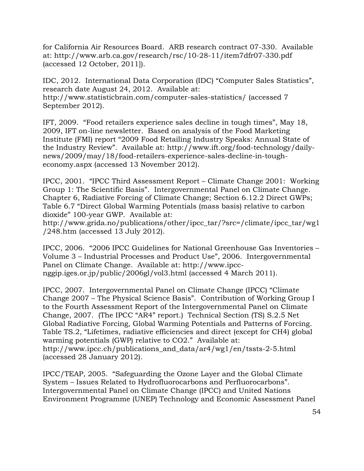for California Air Resources Board. ARB research contract 07-330. Available at:<http://www.arb.ca.gov/research/rsc/10-28-11/item7dfr07-330.pdf> (accessed 12 October, 2011]).

IDC, 2012. International Data Corporation (IDC) "Computer Sales Statistics", research date August 24, 2012. Available at: <http://www.statisticbrain.com/computer-sales-statistics>/ (accessed 7 September 2012).

IFT, 2009. "Food retailers experience sales decline in tough times", May 18, 2009, IFT on-line newsletter. Based on analysis of the Food Marketing Institute (FMI) report "2009 Food Retailing Industry Speaks: Annual State of the Industry Review". Available at:<http://www.ift.org/food-technology/daily>news/2009/may/18/food-retailers-experience-sales-decline-in-tougheconomy.aspx (accessed 13 November 2012).

IPCC, 2001. "IPCC Third Assessment Report – Climate Change 2001: Working Group 1: The Scientific Basis". Intergovernmental Panel on Climate Change. Chapter 6, Radiative Forcing of Climate Change; Section 6.12.2 Direct GWPs; Table 6.7 "Direct Global Warming Potentials (mass basis) relative to carbon dioxide" 100-year GWP. Available at:

[http://www.grida.no/publications/other/ipcc\\_tar/?src=/climate/ipcc\\_tar/wg1](http://www.grida.no/publications/other/ipcc_tar/?src=/climate/ipcc_tar/wg1) /248.htm (accessed 13 July 2012).

IPCC, 2006. "2006 IPCC Guidelines for National Greenhouse Gas Inventories – Volume 3 – Industrial Processes and Product Use", 2006. Intergovernmental Panel on Climate Change. Available at:<http://www.ipcc>nggip.iges.or.jp/public/2006gl/vol3.html (accessed 4 March 2011).

IPCC, 2007. Intergovernmental Panel on Climate Change (IPCC) "Climate Change 2007 – The Physical Science Basis". Contribution of Working Group I to the Fourth Assessment Report of the Intergovernmental Panel on Climate Change, 2007. (The IPCC "AR4" report.) Technical Section (TS) S.2.5 Net Global Radiative Forcing, Global Warming Potentials and Patterns of Forcing. Table TS.2, "Lifetimes, radiative efficiencies and direct (except for CH4) global warming potentials (GWP) relative to CO2." Available at: [http://www.ipcc.ch/publications\\_and\\_data/ar4/wg1/en/tssts-2-5.html](http://www.ipcc.ch/publications_and_data/ar4/wg1/en/tssts-2-5.html)  (accessed 28 January 2012).

IPCC/TEAP, 2005. "Safeguarding the Ozone Layer and the Global Climate System – Issues Related to Hydrofluorocarbons and Perfluorocarbons". Intergovernmental Panel on Climate Change (IPCC) and United Nations Environment Programme (UNEP) Technology and Economic Assessment Panel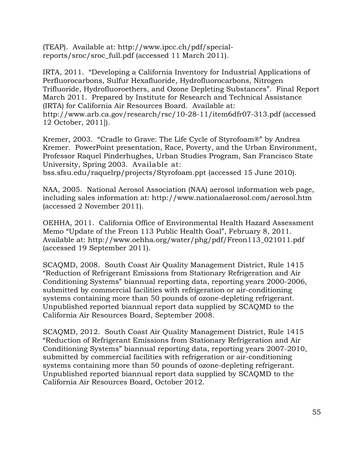(TEAP). Available at:<http://www.ipcc.ch/pdf/special>reports/sroc/sroc\_full.pdf (accessed 11 March 2011).

IRTA, 2011. "Developing a California Inventory for Industrial Applications of Perfluorocarbons, Sulfur Hexafluoride, Hydrofluorocarbons, Nitrogen Trifluoride, Hydrofluoroethers, and Ozone Depleting Substances". Final Report March 2011. Prepared by Institute for Research and Technical Assistance (IRTA) for California Air Resources Board. Available at: <http://www.arb.ca.gov/research/rsc/10-28-11/item6dfr07-313.pdf> (accessed 12 October, 2011]).

Kremer, 2003. "Cradle to Grave: The Life Cycle of Styrofoam®" by Andrea Kremer. PowerPoint presentation, Race, Poverty, and the Urban Environment, Professor Raquel Pinderhughes, Urban Studies Program, San Francisco State University, Spring 2003. Available at:

[bss.sfsu.edu/raquelrp/projects/Styrofoam.ppt](https://bss.sfsu.edu/raquelrp/projects/Styrofoam.ppt) (accessed 15 June 2010).

NAA, 2005. National Aerosol Association (NAA) aerosol information web page, including sales information at:<http://www.nationalaerosol.com/aerosol.htm> (accessed 2 November 2011).

OEHHA, 2011. California Office of Environmental Health Hazard Assessment Memo "Update of the Freon 113 Public Health Goal", February 8, 2011. Available at: [http://www.oehha.org/water/phg/pdf/Freon113\\_021011.pdf](http://www.oehha.org/water/phg/pdf/Freon113_021011.pdf)  (accessed 19 September 2011).

SCAQMD, 2008. South Coast Air Quality Management District, Rule 1415 "Reduction of Refrigerant Emissions from Stationary Refrigeration and Air Conditioning Systems" biannual reporting data, reporting years 2000-2006, submitted by commercial facilities with refrigeration or air-conditioning systems containing more than 50 pounds of ozone-depleting refrigerant. Unpublished reported biannual report data supplied by SCAQMD to the California Air Resources Board, September 2008.

SCAQMD, 2012. South Coast Air Quality Management District, Rule 1415 "Reduction of Refrigerant Emissions from Stationary Refrigeration and Air Conditioning Systems" biannual reporting data, reporting years 2007-2010, submitted by commercial facilities with refrigeration or air-conditioning systems containing more than 50 pounds of ozone-depleting refrigerant. Unpublished reported biannual report data supplied by SCAQMD to the California Air Resources Board, October 2012.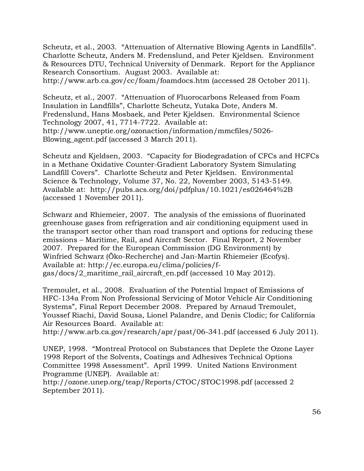Scheutz, et al., 2003. "Attenuation of Alternative Blowing Agents in Landfills". Charlotte Scheutz, Anders M. Fredenslund, and Peter Kjeldsen. Environment & Resources DTU, Technical University of Denmark. Report for the Appliance Research Consortium. August 2003. Available at:

<http://www.arb.ca.gov/cc/foam/foamdocs.htm>(accessed 28 October 2011).

Scheutz, et al., 2007. "Attenuation of Fluorocarbons Released from Foam Insulation in Landfills", Charlotte Scheutz, Yutaka Dote, Anders M. Fredenslund, Hans Mosbaek, and Peter Kjeldsen. Environmental Science Technology 2007, 41, 7714-7722. Available at: [http://www.uneptie.org/ozonaction/information/mmcfiles/5026-](http://www.uneptie.org/ozonaction/information/mmcfiles/5026) Blowing\_agent.pdf (accessed 3 March 2011).

Scheutz and Kjeldsen, 2003. "Capacity for Biodegradation of CFCs and HCFCs in a Methane Oxidative Counter-Gradient Laboratory System Simulating Landfill Covers". Charlotte Scheutz and Peter Kjeldsen. Environmental Science & Technology, Volume 37, No. 22, November 2003, 5143-5149. Available at: <http://pubs.acs.org/doi/pdfplus/10.1021/es026464%2B> (accessed 1 November 2011).

Schwarz and Rhiemeier, 2007. The analysis of the emissions of fluorinated greenhouse gases from refrigeration and air conditioning equipment used in the transport sector other than road transport and options for reducing these emissions – Maritime, Rail, and Aircraft Sector. Final Report, 2 November 2007. Prepared for the European Commission (DG Environment) by Winfried Schwarz (Öko-Recherche) and Jan-Martin Rhiemeier (Ecofys). Available at: <http://ec.europa.eu/clima/policies/f>gas/docs/2\_maritime\_rail\_aircraft\_en.pdf (accessed 10 May 2012).

Tremoulet, et al., 2008. Evaluation of the Potential Impact of Emissions of HFC-134a From Non Professional Servicing of Motor Vehicle Air Conditioning Systems", Final Report December 2008. Prepared by Arnaud Tremoulet, Youssef Riachi, David Sousa, Lionel Palandre, and Denis Clodic; for California Air Resources Board. Available at:

<http://www.arb.ca.gov/research/apr/past/06-341.pdf> (accessed 6 July 2011).

UNEP, 1998. "Montreal Protocol on Substances that Deplete the Ozone Layer 1998 Report of the Solvents, Coatings and Adhesives Technical Options Committee 1998 Assessment". April 1999. United Nations Environment Programme (UNEP). Available at:

<http://ozone.unep.org/teap/Reports/CTOC/STOC1998.pdf>(accessed 2 September 2011).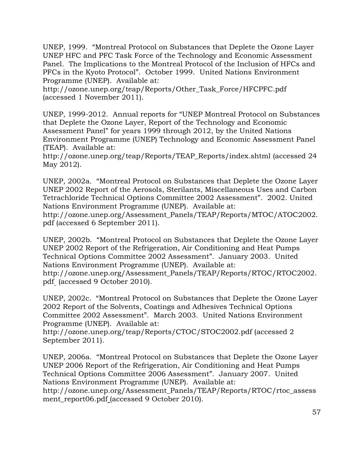UNEP, 1999. "Montreal Protocol on Substances that Deplete the Ozone Layer UNEP HFC and PFC Task Force of the Technology and Economic Assessment Panel. The Implications to the Montreal Protocol of the Inclusion of HFCs and PFCs in the Kyoto Protocol". October 1999. United Nations Environment Programme (UNEP). Available at:

[http://ozone.unep.org/teap/Reports/Other\\_Task\\_Force/HFCPFC.pdf](http://ozone.unep.org/teap/Reports/Other_Task_Force/HFCPFC.pdf)  (accessed 1 November 2011).

(TEAP). Available at: UNEP, 1999-2012. Annual reports for "UNEP Montreal Protocol on Substances that Deplete the Ozone Layer, Report of the Technology and Economic Assessment Panel" for years 1999 through 2012, by the United Nations Environment Programme (UNEP) Technology and Economic Assessment Panel

[http://ozone.unep.org/teap/Reports/TEAP\\_Reports/index.shtml](http://ozone.unep.org/teap/Reports/TEAP_Reports/index.shtml) (accessed 24 May 2012).

UNEP, 2002a. "Montreal Protocol on Substances that Deplete the Ozone Layer UNEP 2002 Report of the Aerosols, Sterilants, Miscellaneous Uses and Carbon Tetrachloride Technical Options Committee 2002 Assessment". 2002. United Nations Environment Programme (UNEP). Available at:

[http://ozone.unep.org/Assessment\\_Panels/TEAP/Reports/MTOC/ATOC2002](http://ozone.unep.org/Assessment_Panels/TEAP/Reports/MTOC/ATOC2002). pdf (accessed 6 September 2011).

pdf\_ (accessed 9 October 2010). UNEP, 2002b. "Montreal Protocol on Substances that Deplete the Ozone Layer UNEP 2002 Report of the Refrigeration, Air Conditioning and Heat Pumps Technical Options Committee 2002 Assessment". January 2003. United Nations Environment Programme (UNEP). Available at: [http://ozone.unep.org/Assessment\\_Panels/TEAP/Reports/RTOC/RTOC2002.](http://ozone.unep.org/Assessment_Panels/TEAP/Reports/RTOC/RTOC2002.pdf) 

UNEP, 2002c. "Montreal Protocol on Substances that Deplete the Ozone Layer 2002 Report of the Solvents, Coatings and Adhesives Technical Options Committee 2002 Assessment". March 2003. United Nations Environment Programme (UNEP). Available at:

<http://ozone.unep.org/teap/Reports/CTOC/STOC2002.pdf>(accessed 2 September 2011).

UNEP, 2006a. "Montreal Protocol on Substances that Deplete the Ozone Layer UNEP 2006 Report of the Refrigeration, Air Conditioning and Heat Pumps Technical Options Committee 2006 Assessment". January 2007. United Nations Environment Programme (UNEP). Available at:

[http://ozone.unep.org/Assessment\\_Panels/TEAP/Reports/RTOC/rtoc\\_assess](http://ozone.unep.org/Assessment_Panels/TEAP/Reports/RTOC/rtoc_assess)  ment\_report06.pdf (accessed 9 October 2010).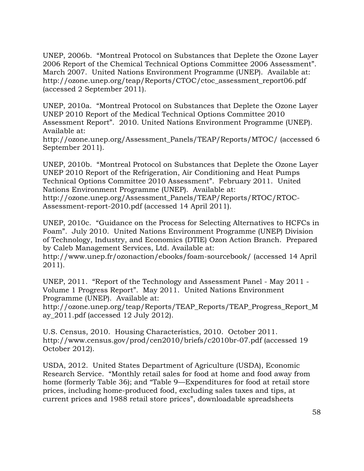UNEP, 2006b. "Montreal Protocol on Substances that Deplete the Ozone Layer 2006 Report of the Chemical Technical Options Committee 2006 Assessment". March 2007. United Nations Environment Programme (UNEP). Available at: [http://ozone.unep.org/teap/Reports/CTOC/ctoc\\_assessment\\_report06.pdf](http://ozone.unep.org/teap/Reports/CTOC/ctoc_assessment_report06.pdf)  (accessed 2 September 2011).

UNEP, 2010a. "Montreal Protocol on Substances that Deplete the Ozone Layer UNEP 2010 Report of the Medical Technical Options Committee 2010 Assessment Report". 2010. United Nations Environment Programme (UNEP). Available at:

[http://ozone.unep.org/Assessment\\_Panels/TEAP/Reports/MTOC](http://ozone.unep.org/Assessment_Panels/TEAP/Reports/MTOC)/ (accessed 6 September 2011).

UNEP, 2010b. "Montreal Protocol on Substances that Deplete the Ozone Layer UNEP 2010 Report of the Refrigeration, Air Conditioning and Heat Pumps Technical Options Committee 2010 Assessment". February 2011. United Nations Environment Programme (UNEP). Available at: [http://ozone.unep.org/Assessment\\_Panels/TEAP/Reports/RTOC/RTOC-](http://ozone.unep.org/Assessment_Panels/TEAP/Reports/RTOC/RTOC)Assessment-report-2010.pdf (accessed 14 April 2011).

UNEP, 2010c. "Guidance on the Process for Selecting Alternatives to HCFCs in Foam". July 2010. United Nations Environment Programme (UNEP) Division of Technology, Industry, and Economics (DTIE) Ozon Action Branch. Prepared by Caleb Management Services, Ltd. Available at:

[http://www.unep.fr/ozonaction/ebooks/foam-sourcebook/](http://www.unep.fr/ozonaction/ebooks/foam-sourcebook) (accessed 14 April 2011).

UNEP, 2011. "Report of the Technology and Assessment Panel - May 2011 - Volume 1 Progress Report". May 2011. United Nations Environment Programme (UNEP). Available at:

[http://ozone.unep.org/teap/Reports/TEAP\\_Reports/TEAP\\_Progress\\_Report\\_M](http://ozone.unep.org/teap/Reports/TEAP_Reports/TEAP_Progress_Report_M) ay\_2011.pdf (accessed 12 July 2012).

U.S. Census, 2010. Housing Characteristics, 2010. October 2011. <http://www.census.gov/prod/cen2010/briefs/c2010br-07.pdf> (accessed 19 October 2012).

USDA, 2012. United States Department of Agriculture (USDA), Economic Research Service. "Monthly retail sales for food at home and food away from home (formerly Table 36); and "Table 9—Expenditures for food at retail store prices, including home-produced food, excluding sales taxes and tips, at current prices and 1988 retail store prices", downloadable spreadsheets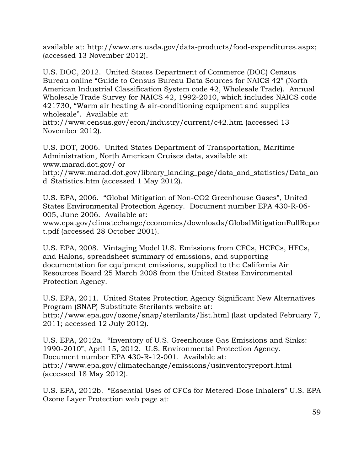available at: [http://www.ers.usda.gov/data-products/food-expenditures.aspx;](http://www.ers.usda.gov/data-products/food-expenditures.aspx) (accessed 13 November 2012).

U.S. DOC, 2012. United States Department of Commerce (DOC) Census Bureau online "Guide to Census Bureau Data Sources for NAICS 42" (North American Industrial Classification System code 42, Wholesale Trade). Annual Wholesale Trade Survey for NAICS 42, 1992-2010, which includes NAICS code 421730, "Warm air heating & air-conditioning equipment and supplies wholesale". Available at:

<http://www.census.gov/econ/industry/current/c42.htm>(accessed 13 November 2012).

U.S. DOT, 2006. United States Department of Transportation, Maritime Administration, North American Cruises data, available at: [www.marad.dot.gov/](www.marad.dot.gov) or

[http://www.marad.dot.gov/library\\_landing\\_page/data\\_and\\_statistics/Data\\_an](http://www.marad.dot.gov/library_landing_page/data_and_statistics/Data_an)  d\_Statistics.htm (accessed 1 May 2012).

U.S. EPA, 2006. "Global Mitigation of Non-CO2 Greenhouse Gases", United States Environmental Protection Agency. Document number EPA 430-R-06- 005, June 2006. Available at:

<www.epa.gov/climatechange/economics/downloads/GlobalMitigationFullRepor> t.pdf (accessed 28 October 2001).

U.S. EPA, 2008. Vintaging Model U.S. Emissions from CFCs, HCFCs, HFCs, and Halons, spreadsheet summary of emissions, and supporting documentation for equipment emissions, supplied to the California Air Resources Board 25 March 2008 from the United States Environmental Protection Agency.

U.S. EPA, 2011. United States Protection Agency Significant New Alternatives Program (SNAP) Substitute Sterilants website at: <http://www.epa.gov/ozone/snap/sterilants/list.html>(last updated February 7, 2011; accessed 12 July 2012).

U.S. EPA, 2012a. "Inventory of U.S. Greenhouse Gas Emissions and Sinks: 1990-2010", April 15, 2012. U.S. Environmental Protection Agency. Document number EPA 430-R-12-001. Available at: <http://www.epa.gov/climatechange/emissions/usinventoryreport.html> (accessed 18 May 2012).

U.S. EPA, 2012b. "Essential Uses of CFCs for Metered-Dose Inhalers" U.S. EPA Ozone Layer Protection web page at: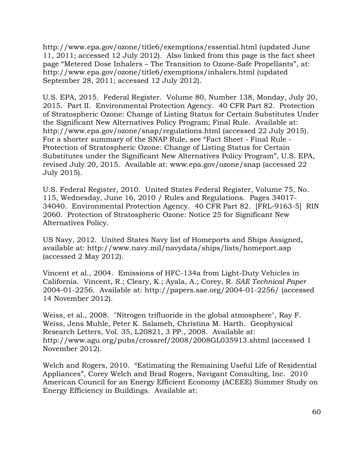<http://www.epa.gov/ozone/title6/exemptions/essential.html> (updated June 11, 2011; accessed 12 July 2012). Also linked from this page is the fact sheet page "Metered Dose Inhalers – The Transition to Ozone-Safe Propellants", at: <http://www.epa.gov/ozone/title6/exemptions/inhalers.html>(updated September 28, 2011; accessed 12 July 2012).

U.S. EPA, 2015. Federal Register. Volume 80, Number 138, Monday, July 20, 2015. Part II. Environmental Protection Agency. 40 CFR Part 82. Protection of Stratospheric Ozone: Change of Listing Status for Certain Substitutes Under the Significant New Alternatives Policy Program; Final Rule. Available at: <http://www.epa.gov/ozone/snap/regulations.html> (accessed 22 July 2015). For a shorter summary of the SNAP Rule, see "Fact Sheet - Final Rule - Protection of Stratospheric Ozone: Change of Listing Status for Certain Substitutes under the Significant New Alternatives Policy Program", U.S. EPA, revised July 20, 2015. Available at:<www.epa.gov/ozone/snap> (accessed 22 July 2015).

U.S. Federal Register, 2010. United States Federal Register, Volume 75, No. 115, Wednesday, June 16, 2010 / Rules and Regulations. Pages 34017- 34040. Environmental Protection Agency. 40 CFR Part 82. [FRL-9163-5] RIN 2060. Protection of Stratospheric Ozone: Notice 25 for Significant New Alternatives Policy.

US Navy, 2012. United States Navy list of Homeports and Ships Assigned, available at: <http://www.navy.mil/navydata/ships/lists/homeport.asp> (accessed 2 May 2012).

Vincent et al., 2004. Emissions of HFC-134a from Light-Duty Vehicles in California. Vincent, R.; Cleary, K.; Ayala, A.; Corey, R. *SAE Technical Paper*  2004-01-2256. Available at:<http://papers.sae.org/2004-01-2256>/ (accessed 14 November 2012).

Weiss, et al., 2008. "Nitrogen trifluoride in the global atmosphere", Ray F. Weiss, Jens Muhle, Peter K. Salameh, Christina M. Harth. Geophysical Research Letters, Vol. 35, L20821, 3 PP., 2008. Available at: <http://www.agu.org/pubs/crossref/2008/2008GL035913.shtml> (accessed 1 November 2012).

Welch and Rogers, 2010. "Estimating the Remaining Useful Life of Residential Appliances", Corey Welch and Brad Rogers, Navigant Consulting, Inc. 2010 American Council for an Energy Efficient Economy (ACEEE) Summer Study on Energy Efficiency in Buildings. Available at: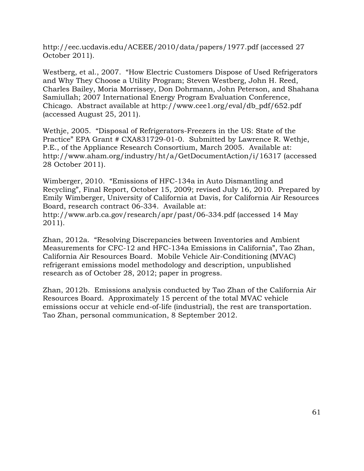<http://eec.ucdavis.edu/ACEEE/2010/data/papers/1977.pdf> (accessed 27 October 2011).

 Chicago. Abstract available at [http://www.cee1.org/eval/db\\_pdf/652.pdf](http://www.cee1.org/eval/db_pdf/652.pdf) (accessed August 25, 2011). Westberg, et al., 2007. "How Electric Customers Dispose of Used Refrigerators and Why They Choose a Utility Program; Steven Westberg, John H. Reed, Charles Bailey, Moria Morrissey, Don Dohrmann, John Peterson, and Shahana Samiullah; 2007 International Energy Program Evaluation Conference,

Wethje, 2005. "Disposal of Refrigerators-Freezers in the US: State of the Practice" EPA Grant # CXA831729-01-0. Submitted by Lawrence R. Wethje, P.E., of the Appliance Research Consortium, March 2005. Available at: <http://www.aham.org/industry/ht/a/GetDocumentAction/i/16317>(accessed 28 October 2011).

Wimberger, 2010. "Emissions of HFC-134a in Auto Dismantling and Recycling", Final Report, October 15, 2009; revised July 16, 2010. Prepared by Emily Wimberger, University of California at Davis, for California Air Resources Board, research contract 06-334. Available at: <http://www.arb.ca.gov/research/apr/past/06-334.pdf> (accessed 14 May 2011).

Zhan, 2012a. "Resolving Discrepancies between Inventories and Ambient Measurements for CFC-12 and HFC-134a Emissions in California", Tao Zhan, California Air Resources Board. Mobile Vehicle Air-Conditioning (MVAC) refrigerant emissions model methodology and description, unpublished research as of October 28, 2012; paper in progress.

Zhan, 2012b. Emissions analysis conducted by Tao Zhan of the California Air Resources Board. Approximately 15 percent of the total MVAC vehicle emissions occur at vehicle end-of-life (industrial), the rest are transportation. Tao Zhan, personal communication, 8 September 2012.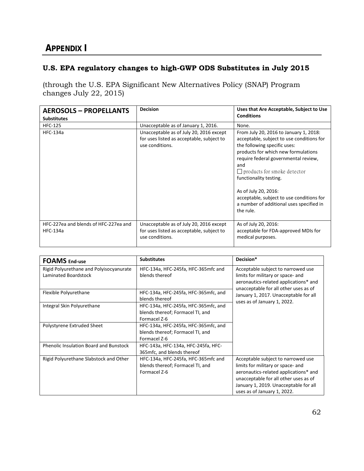# <span id="page-61-0"></span>**APPENDIX I**

### **U.S. EPA regulatory changes to high-GWP ODS Substitutes in July 2015**

(through the U.S. EPA Significant New Alternatives Policy (SNAP) Program changes July 22, 2015)

| <b>AEROSOLS - PROPELLANTS</b><br><b>Substitutes</b>      | <b>Decision</b>                                                                                         | Uses that Are Acceptable, Subject to Use<br><b>Conditions</b>                                                                                                                                                                                                                                                                                                                                           |
|----------------------------------------------------------|---------------------------------------------------------------------------------------------------------|---------------------------------------------------------------------------------------------------------------------------------------------------------------------------------------------------------------------------------------------------------------------------------------------------------------------------------------------------------------------------------------------------------|
| <b>HFC-125</b>                                           | Unacceptable as of January 1, 2016.                                                                     | None.                                                                                                                                                                                                                                                                                                                                                                                                   |
| <b>HFC-134a</b>                                          | Unacceptable as of July 20, 2016 except<br>for uses listed as acceptable, subject to<br>use conditions. | From July 20, 2016 to January 1, 2018:<br>acceptable, subject to use conditions for<br>the following specific uses:<br>products for which new formulations<br>require federal governmental review,<br>and<br>$\Box$ products for smoke detector<br>functionality testing.<br>As of July 20, 2016:<br>acceptable, subject to use conditions for<br>a number of additional uses specified in<br>the rule. |
| HFC-227ea and blends of HFC-227ea and<br><b>HFC-134a</b> | Unacceptable as of July 20, 2016 except<br>for uses listed as acceptable, subject to<br>use conditions. | As of July 20, 2016:<br>acceptable for FDA-approved MDIs for<br>medical purposes.                                                                                                                                                                                                                                                                                                                       |

| <b>FOAMS</b> End-use                                            | <b>Substitutes</b>                                                                       | Decision*                                                                                                                                                                                                                         |
|-----------------------------------------------------------------|------------------------------------------------------------------------------------------|-----------------------------------------------------------------------------------------------------------------------------------------------------------------------------------------------------------------------------------|
| Rigid Polyurethane and Polyisocyanurate<br>Laminated Boardstock | HFC-134a, HFC-245fa, HFC-365mfc and<br>blends thereof                                    | Acceptable subject to narrowed use<br>limits for military or space- and<br>aeronautics-related applications* and<br>unacceptable for all other uses as of                                                                         |
| Flexible Polyurethane                                           | HFC-134a, HFC-245fa, HFC-365mfc, and<br>blends thereof                                   | January 1, 2017. Unacceptable for all<br>uses as of January 1, 2022.                                                                                                                                                              |
| Integral Skin Polyurethane                                      | HFC-134a, HFC-245fa, HFC-365mfc, and<br>blends thereof; Formacel TI, and<br>Formacel Z-6 |                                                                                                                                                                                                                                   |
| Polystyrene Extruded Sheet                                      | HFC-134a, HFC-245fa, HFC-365mfc, and<br>blends thereof; Formacel TI, and<br>Formacel Z-6 |                                                                                                                                                                                                                                   |
| <b>Phenolic Insulation Board and Bunstock</b>                   | HFC-143a, HFC-134a, HFC-245fa, HFC-<br>365 mfc, and blends thereof                       |                                                                                                                                                                                                                                   |
| Rigid Polyurethane Slabstock and Other                          | HFC-134a, HFC-245fa, HFC-365mfc and<br>blends thereof; Formacel TI, and<br>Formacel Z-6  | Acceptable subject to narrowed use<br>limits for military or space- and<br>aeronautics-related applications* and<br>unacceptable for all other uses as of<br>January 1, 2019. Unacceptable for all<br>uses as of January 1, 2022. |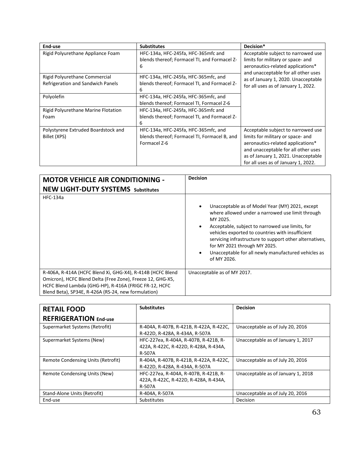| End-use                                                            | <b>Substitutes</b>                                                                                   | Decision*                                                                                                                                                                                                                         |
|--------------------------------------------------------------------|------------------------------------------------------------------------------------------------------|-----------------------------------------------------------------------------------------------------------------------------------------------------------------------------------------------------------------------------------|
| Rigid Polyurethane Appliance Foam                                  | HFC-134a, HFC-245fa, HFC-365mfc and<br>blends thereof; Formacel TI, and Formacel Z-<br>6             | Acceptable subject to narrowed use<br>limits for military or space- and<br>aeronautics-related applications*<br>and unacceptable for all other uses                                                                               |
| Rigid Polyurethane Commercial<br>Refrigeration and Sandwich Panels | HFC-134a, HFC-245fa, HFC-365mfc, and<br>blends thereof; Formacel TI, and Formacel Z-<br>6            | as of January 1, 2020. Unacceptable<br>for all uses as of January 1, 2022.                                                                                                                                                        |
| Polyolefin                                                         | HFC-134a, HFC-245fa, HFC-365mfc, and<br>blends thereof; Formacel TI, Formacel Z-6                    |                                                                                                                                                                                                                                   |
| Rigid Polyurethane Marine Flotation<br>Foam                        | HFC-134a, HFC-245fa, HFC-365mfc and<br>blends thereof; Formacel TI, and Formacel Z-<br>6             |                                                                                                                                                                                                                                   |
| Polystyrene Extruded Boardstock and<br>Billet (XPS)                | HFC-134a, HFC-245fa, HFC-365mfc, and<br>blends thereof; Formacel TI, Formacel B, and<br>Formacel Z-6 | Acceptable subject to narrowed use<br>limits for military or space- and<br>aeronautics-related applications*<br>and unacceptable for all other uses<br>as of January 1, 2021. Unacceptable<br>for all uses as of January 1, 2022. |

| <b>MOTOR VEHICLE AIR CONDITIONING -</b><br><b>NEW LIGHT-DUTY SYSTEMS</b> Substitutes                                                                                                                                                     | <b>Decision</b>                                                                                                                                                                                                                                                                                                                                                                                                                |
|------------------------------------------------------------------------------------------------------------------------------------------------------------------------------------------------------------------------------------------|--------------------------------------------------------------------------------------------------------------------------------------------------------------------------------------------------------------------------------------------------------------------------------------------------------------------------------------------------------------------------------------------------------------------------------|
| <b>HFC-134a</b>                                                                                                                                                                                                                          | Unacceptable as of Model Year (MY) 2021, except<br>$\bullet$<br>where allowed under a narrowed use limit through<br>MY 2025.<br>Acceptable, subject to narrowed use limits, for<br>$\bullet$<br>vehicles exported to countries with insufficient<br>servicing infrastructure to support other alternatives,<br>for MY 2021 through MY 2025.<br>Unacceptable for all newly manufactured vehicles as<br>$\bullet$<br>of MY 2026. |
| R-406A, R-414A (HCFC Blend Xi, GHG-X4), R-414B (HCFC Blend<br>Omicron), HCFC Blend Delta (Free Zone), Freeze 12, GHG-X5,<br>HCFC Blend Lambda (GHG-HP), R-416A (FRIGC FR-12, HCFC<br>Blend Beta), SP34E, R-426A (RS-24, new formulation) | Unacceptable as of MY 2017.                                                                                                                                                                                                                                                                                                                                                                                                    |

| <b>RETAIL FOOD</b>                 | <b>Substitutes</b>                                                                       | <b>Decision</b>                    |
|------------------------------------|------------------------------------------------------------------------------------------|------------------------------------|
| <b>REFRIGERATION End-use</b>       |                                                                                          |                                    |
| Supermarket Systems (Retrofit)     | R-404A, R-407B, R-421B, R-422A, R-422C,<br>R-422D, R-428A, R-434A, R-507A                | Unacceptable as of July 20, 2016   |
| Supermarket Systems (New)          | HFC-227ea, R-404A, R-407B, R-421B, R-<br>422A, R-422C, R-422D, R-428A, R-434A,<br>R-507A | Unacceptable as of January 1, 2017 |
| Remote Condensing Units (Retrofit) | R-404A, R-407B, R-421B, R-422A, R-422C,<br>R-422D, R-428A, R-434A, R-507A                | Unacceptable as of July 20, 2016   |
| Remote Condensing Units (New)      | HFC-227ea, R-404A, R-407B, R-421B, R-<br>422A, R-422C, R-422D, R-428A, R-434A,<br>R-507A | Unacceptable as of January 1, 2018 |
| Stand-Alone Units (Retrofit)       | R-404A, R-507A                                                                           | Unacceptable as of July 20, 2016   |
| End-use                            | Substitutes                                                                              | Decision                           |